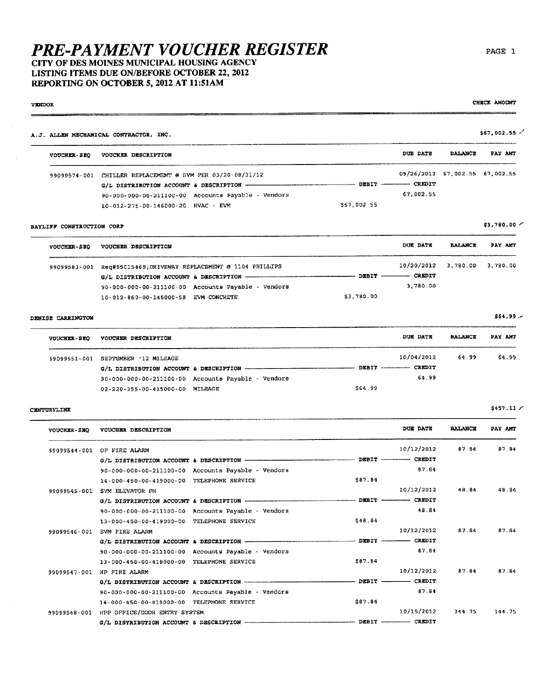CITY OF DES MOINES MUNICIPAL HOUSING AGENCY LISTING ITEMS DUE ON/BEFORE OCTOBER 22, 2012 REPORTING ON OCTOBER 5, 2012 AT 11:51AM

99099548-001 HPP OFFICE/DOOR ENTRY SYSTEM

G/L DISTRIBUTION ACCOUNT & DESCRIPTION -

**VENDOR** 

#### \$67,002.55 / A.J. ALLEN MECHANICAL CONTRACTOR, INC. DITE DATE **BALANCE** PAY AMT VOUCHER-SEO VOUCHER DESCRIPTION 09/26/2012 67,002.55 67,002.55 99099574-001 CHILLER REPLACEMENT @ EVM PER 03/20-08/31/12  $-$  CREDIT G/L DISTRIBUTION ACCOUNT & DESCRIPTION - $-$  DEBIT  $-$ 67,002.55 90-000-000-00-211100-00 Accounts Payable - Vendors \$67,002.55 10-012-275-00-146000-20 HVAC - EVM  $$3.780.00$   $\sim$ BAYLIFF CONSTRUCTION CORP DUE DATE **BALANCE** PAY AMT **VOUCHER-SEO** VOUCHER DESCRIPTION 10/20/2012 3.780.00 3.780.00 99099583-001 Req#95015469;DRIVEWAY REPLACEMENT @ 1104 PHILLIPS - CREDIT  $-$  DEBIT -G/L DISTRIBUTION ACCOUNT & DESCRIPTION ----3,780.00 90-000-000-00-211100-00 Accounts Payable - Vendors 10-012-860-00-145000-58 EVM CONCRETE \$3,780.00  $$64.99.$ DENISE CARRINGTON **BALANCE** VOUCHER DESCRIPTION DUE DATE PAY AMT **VOUCHER-SEO** 10/04/2012 64.99 64.99 99099551-001 SEPTEMBER '12 MILEAGE  $C$ REDIT - DRBIT --G/L DISTRIBUTION ACCOUNT & DESCRIPTION -64.99 90-000-000-00-211100-00 Accounts Payable - Vendors \$64.99 02-220-355-00-415000-00 MILEAGE  $$457.11/$ CENTURYLINK **DUE DATE BALANCE** PAY AMT VOUCHER DESCRIPTION VOUCHER-SEO 87 84 10/12/2012 87 B4 99099544-001 OP FIRE ALARM -- CREDIT G/L DISTRIBUTION ACCOUNT & DESCRIPTION - $-$  DEBIT  $-$ 90-000-000-00-211100-00 Accounts Payable - Vendors 87.84 14-000-450-00-419000-00 TELEPHONE SERVICE \$87.84 10/12/2012 48.84 48.64 99099545-001 SVM ELEVATOR PH - DEBIT -- CREDIT G/L DISTRIBUTION ACCOUNT & DESCRIPTION -48.84 90-000-000-00-211100-00 Accounts Payable - Vendors 13-000-450-00-419000-00 TELEPHONE SERVICE \$48.84 10/12/2012 87.84 87.84 99099546-001 SVM FIRE ALARM  $-DEBIT -$  CREDIT  $G/L$  DISTRIBUTION ACCOUNT & DESCRIPTION  $-$ 87.84 90-000-000-00-211100-00 Accounts Payable - Vendors 13-000-450-00-419000-00 TELEPHONE SERVICE 587.84 10/12/2012 87.84 87.84 99099547-001 HP FIRE ALARM  $-$  DEBIT  $-$  CREDIT G/L DISTRIBUTION ACCOUNT & DESCRIPTION -90-000-000-00-211100-00 Accounts Payable - Vendors 87.84 14-000-450-00-419000-00 TELEPHONE SERVICE \$87.84

144.75

144.75

10/15/2012

 $C$ REDIT

DERTT

CHECK AMOUNT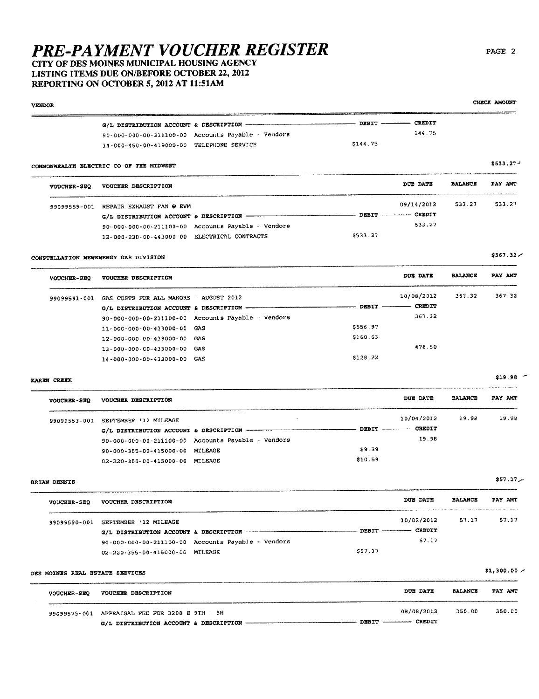### CITY OF DES MOINES MUNICIPAL HOUSING AGENCY LISTING ITEMS DUE ON/BEFORE OCTOBER 22, 2012 REPORTING ON OCTOBER 5, 2012 AT 11:51AM

**VENDOR**  $-$  CREDIT G/L DISTRIBUTION ACCOUNT & DESCRIPTION - $-$  DEBIT  $-$ 144.75 90-000-000-00-211100-00 Accounts Payable - Vendors  $$144.75$ 14-000-450-00-419000-00 TELEPHONE SERVICE \$533.27-COMMONWEALTH ELECTRIC CO OF THE MIDWEST DUE DATE **BALANCE** PAY AMT **VOUCHER-SEQ** VOUCHER DESCRIPTION 99099559-001 REPAIR EXHAUST FAN @ EVM 09/14/2012 533.27 533.27 - DEBIT ---- CREDIT G/L DISTRIBUTION ACCOUNT & DESCRIPTION -533.27 90-000-000-00-211100-00 Accounts Payable - Vendors 12-000-230-00-443000-00 ELECTRICAL CONTRACTS \$533.27 CONSTELLATION NEWENERGY GAS DIVISION DUE DATE **BALANCE** PAY AMT VOUCHER-SEQ VOUCHER DESCRIPTION

| 99099591-001 | GAS COSTS FOR ALL MANORS - AUGUST 2012 |                                                    |          | 10/08/2012                    | 367.32 | 367.32 |
|--------------|----------------------------------------|----------------------------------------------------|----------|-------------------------------|--------|--------|
|              |                                        |                                                    |          | <b>CREDIT</b><br><b>DEBIT</b> |        |        |
|              |                                        | 90-000-000-00-211100-00 Accounts Payable - Vendors |          | 367.32                        |        |        |
|              | 11-000-000-00-433000-00 GAS            |                                                    | \$556.97 |                               |        |        |
|              | 12-000-000-00-433000-00 GAS            |                                                    | \$160.63 |                               |        |        |
|              | 13-000-000-00-433000-00 GAS            |                                                    |          | 478.50                        |        |        |
|              | 14-000-000-00-433000-00 GAS            |                                                    | 5128.22  |                               |        |        |

**KAREN CREEK** 

| VOUCHER DESCRIPTION     |                                                                                                  | DUE DATE      | <b>BALANCE</b>                     | PAY AMT |
|-------------------------|--------------------------------------------------------------------------------------------------|---------------|------------------------------------|---------|
| SEPTEMBER '12 MILEAGE   |                                                                                                  |               | 19.98                              | 19.98   |
|                         |                                                                                                  | <b>CREDIT</b> |                                    |         |
|                         |                                                                                                  | 19.98         |                                    |         |
| 90-000-355-00-415000-00 | \$9.39                                                                                           |               |                                    |         |
|                         | \$10.59                                                                                          |               |                                    |         |
|                         | 90-000-000-00-211100-00 Accounts Payable - Vendors<br>MILEAGE<br>02-220-355-00-415000-00 MILEAGE |               | 10/04/2012<br>$DEBIT$ ------------ |         |

**BRIAN DENNIS** 

| <b>VOUCHER-SEO</b> | VOUCHER DESCRIPTION                                |         | DUE DATE                 | <b>BALANCE</b> | PAY AMT |
|--------------------|----------------------------------------------------|---------|--------------------------|----------------|---------|
| 99099590-001       | SEPTEMBER '12 MILEAGE                              |         | 10/02/2012               | 57.17          | 57.17   |
|                    |                                                    |         | DEBIT ----------- CREDIT |                |         |
|                    | 90-000-000-00-211100-00 Accounts Payable - Vendors |         | 57.17                    |                |         |
|                    | 02-220-355-00-415000-00 MILEAGE                    | \$57.17 |                          |                |         |

### DES MOINES REAL ESTATE SERVICES

| VOUCHER-SEO | <b>VOUCHER DESCRIPTION</b>                     | <b>DUE DATE</b> | <b>BALANCE</b> | PAY AMT |
|-------------|------------------------------------------------|-----------------|----------------|---------|
|             | 99099575-001 APPRAISAL FEE FOR 3208 E 9TH - 5H | 08/08/2012      | 350.00         | 350.00  |
|             |                                                | CREDIT          |                |         |

PAGE 2

CHECK AMOUNT

 $$367.32 \times$ 

 $$19.98$  -

 $$57.17$ 

 $$1,300.00/$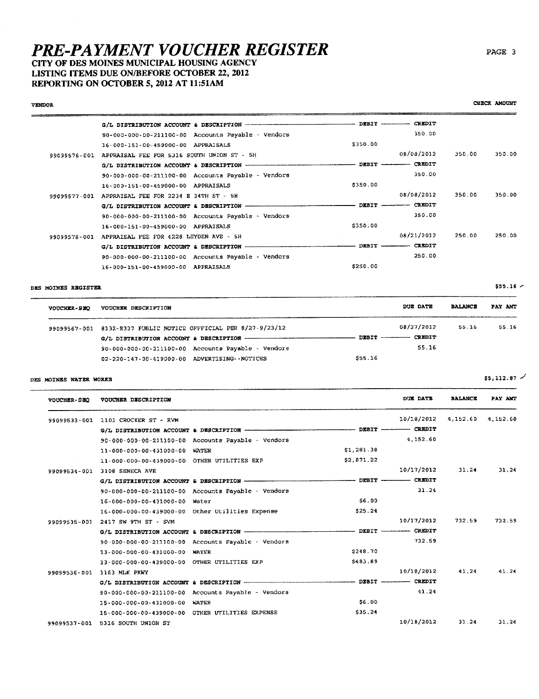### CITY OF DES MOINES MUNICIPAL HOUSING AGENCY LISTING ITEMS DUE ON/BEFORE OCTOBER 22, 2012 REPORTING ON OCTOBER 5, 2012 AT 11:51AM

 $-$  DEBIT  $-$  CREDIT  $\alpha/t$ , DISTRIBUTION ACCOUNT & DESCRIPTION  $--$ 350.00 90-000-000-00-211100-00 Accounts Payable - Vendors \$350.00 16-000-151-00-459000-00 APPRAISALS 08/08/2012 350.00 350.00 99099576-001 APPRAISAL FEE FOR 5316 SOUTH UNION ST - 5H  $-$  CREDIT G/L DISTRIBUTION ACCOUNT & DESCRIPTION - $-$  DEBIT  $-$ 90-000-000-00-211100-00 Accounts Payable - Vendors 350.00  $$350.00$ 16-000-151-00-459000-00 APPRAISALS 08/08/2012 350.00 350.00 99099577-001 APPRAISAL FEE FOR 2234 E 34TH ST - 5H  $-$  DEBIT  $CREDIT$ G/L DISTRIBUTION ACCOUNT & DESCRIPTION -350.00 90-000-000-00-211100-00 Accounts Payable  $\sim$  Vendors 16-000-151-00-459000-00 APPRAISALS \$350.00 08/21/2012 250.00 250.00 99099578-001 APPRAISAL FEE FOR 4228 LEYDEN AVE - 5H -  $P$ EBIT - $-$  CREDIT  $G/L$  DISTRIBUTION ACCOUNT & DESCRIPTION -90-000-000-00-211100-00 Accounts Payable - Vendors 250.00 \$250.00 16-000-151-00-459000-00 APPRAISALS

#### DES MOINES REGISTER

VENDOR

| <b>VOUCHER-SEO</b> | VOUCHER DESCRIPTION                                             | DUE DATE      | <b>BALANCE</b> | PAY ANT |
|--------------------|-----------------------------------------------------------------|---------------|----------------|---------|
|                    | 99099567-001 8132-R337 PUBLIC NOTICE OFFFICIAL PER 8/27-9/23/12 | 08/27/2012    | 55.16          | 55.16   |
|                    |                                                                 | <b>CREDIT</b> |                |         |
|                    | 90-000-000-00-211100-00 Accounts Payable - Vendors              | 55.16         |                |         |
|                    | 02-220-147-00-419000-00 ADVERTISING--NOTICES                    | \$55.16       |                |         |

#### DES MOINES WATER WORKS

| <b>VOUCHER-SEQ</b> | VOUCHER DESCRIPTION                             |                                                    |            | DUE DATE   | <b>BALANCE</b> | PAY ANT  |
|--------------------|-------------------------------------------------|----------------------------------------------------|------------|------------|----------------|----------|
| 99099533-001       | 1101 CROCKER ST - RVM                           |                                                    |            | 10/18/2012 | 4,152.60       | 4,152.60 |
|                    |                                                 |                                                    |            |            |                |          |
|                    |                                                 | 90-000-000-00-211100-00 Accounts Payable - Vendors |            | 4,152.60   |                |          |
|                    | 11-000-000-00-431000-00                         | WATER                                              | \$1,281.38 |            |                |          |
|                    | 11-000-000-00-439000-00 OTHER UTILITIES EXP     |                                                    | \$2,871.22 |            |                |          |
| 99099534-001       | 3108 SENECA AVE                                 |                                                    |            | 10/17/2012 | 31.24          | 31.24    |
|                    |                                                 |                                                    |            |            |                |          |
|                    |                                                 | 90-000-000-00-211100-00 Accounts Payable - Vendors |            | 31.24      |                |          |
|                    | 16-000-000-00-431000-00 Water                   |                                                    | \$6.00     |            |                |          |
|                    |                                                 | 16-000-000-00-439000-00 Other Utilities Expense    | \$25.24    |            |                |          |
| 99099535~001       | 2417 SW 9TH ST - SVM                            |                                                    |            | 10/17/2012 | 732.59         | 732.59   |
|                    |                                                 |                                                    |            |            |                |          |
|                    |                                                 | 90-000-000-00-211100-00 Accounts Payable - Vendors |            | 732.59     |                |          |
|                    | 13-000-000-00-431000-00 WATER                   |                                                    | \$248.70   |            |                |          |
|                    | 13-000-000-00-439000-00 OTHER UTILITIES EXP     |                                                    | \$483.89   |            |                |          |
| 99099536-001       | 1163 MLK PKWY                                   |                                                    |            | 10/18/2012 | 41.24          | 41.24    |
|                    |                                                 |                                                    |            |            |                |          |
|                    |                                                 | 90-000-000-00-211100-00 Accounts Payable - Vendors |            | 41.24      |                |          |
|                    | 15-000-000-00-431000-00                         | <b>WATER</b>                                       | \$6.00     |            |                |          |
|                    | 15-000-000-00-439000-00 OTHER UTILITIES EXPENSE |                                                    | \$35.24    |            |                |          |
| 99099537-001       | 5316 SOUTH UNION ST                             |                                                    |            | 10/18/2012 | 33.24          | 31.24    |

PAGE 3

 $$55.16$   $-$ 

 $$5,112.87$  /

CHECK AMOUNT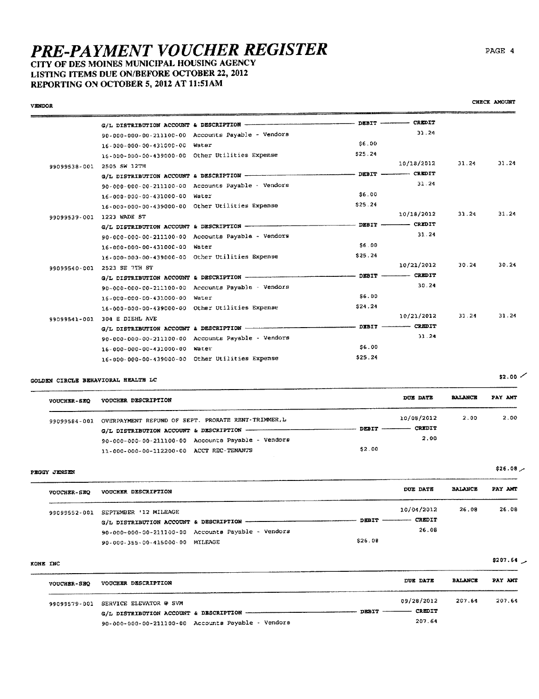16-000-000-00-439000-00 Other Utilities Expense

90-000-000-00-211100-00 Accounts Payable - Vendors

16-000-000-00-439000-00 Other Utilities Expense

G/L DISTRIBUTION ACCOUNT & DESCRIPTION

16-000-000-00-431000-00 Water

### CITY OF DES MOINES MUNICIPAL HOUSING AGENCY LISTING ITEMS DUE ON/BEFORE OCTOBER 22, 2012 REPORTING ON OCTOBER 5, 2012 AT 11:51AM

| <b>VENDOR</b> |                                                 |                                                    |              |               |       | CHECK AMOUNT |
|---------------|-------------------------------------------------|----------------------------------------------------|--------------|---------------|-------|--------------|
|               | G/L DISTRIBUTION ACCOUNT & DESCRIPTION          |                                                    | DEBIT        | CREDIT        |       |              |
|               |                                                 | 90-000-000-00-211100-00 Accounts Payable - Vendors |              | 31.24         |       |              |
|               | 16-000-000-00-431000-00                         | Water                                              | \$6.00       |               |       |              |
|               | 16-000-000-00-439000-00 Other Utilities Expense |                                                    | \$25.24      |               |       |              |
| 99099538-001  | 2505 SW 12TH                                    |                                                    |              | 10/18/2012    | 31.24 | 31.24        |
|               | G/L DISTRIBUTION ACCOUNT & DESCRIPTION          |                                                    | <b>DEBIT</b> | <b>CREDIT</b> |       |              |
|               |                                                 | 90-000-000-00-211100-00 Accounts Payable - Vendors |              | 31.24         |       |              |
|               | 16-000-000-00-431000-00 Water                   |                                                    | \$6.00       |               |       |              |
|               | 16-000-000-00-439000-00 Other Utilities Expense |                                                    | \$25.24      |               |       |              |
| 99099539-001  | 1223 WADE ST                                    |                                                    |              | 10/18/2012    | 31.24 | 31.24        |
|               | G/L DISTRIBUTION ACCOUNT & DESCRIPTION -        |                                                    | DEBIT -      | CREDIT        |       |              |
|               |                                                 | 90-000-000-00-211100-00 Accounts Payable - Vendors |              | 33.24         |       |              |
|               | 16-000-000-00-431000-00                         | Water                                              | \$6.00       |               |       |              |
|               | 16-000-000-00-439000-00 Other Utilities Expense |                                                    | \$25.24      |               |       |              |
| 99099540-001  | 2523 SE 7TH ST                                  |                                                    |              | 10/21/2012    | 30.24 | 30.24        |
|               | G/L DISTRIBUTION ACCOUNT & DESCRIPTION          |                                                    | DEBIT        | CREDIT        |       |              |
|               |                                                 | 90-000-000-00-211100-00 Accounts Payable - Vendors |              | 30.24         |       |              |
|               | 1.6-000-000-00-431.000-00                       | Water                                              | 56.00        |               |       |              |

GOLDEN CIRCLE BEHAVIORAL HEALTH LC

99099541-001 304 E DIEHL AVE

| <b>VOUCHER-SEQ</b> | VODCHER DESCRIPTION                                             | DOE DATE                                   | <b>BALANCE</b> | PAY AMT |
|--------------------|-----------------------------------------------------------------|--------------------------------------------|----------------|---------|
|                    | 99099584-001 OVERPAYMENT REFUND OF SEPT. PRORATE RENT-TRIMMER.L | 10/08/2012                                 | 2.00           | 2.00    |
|                    |                                                                 | <b>CREDIT</b><br>$DEBIT$ $\longrightarrow$ |                |         |
|                    | 90-000-000-00-211100-00 Accounts Payable - Vendors              | 2.00                                       |                |         |
|                    | 11-000-000-00-112200-00 ACCT REC-TENANTS                        | \$2.00                                     |                |         |

\$24.24

 $-$  DEBIT  $-$ 

\$6.00

\$25.24

PROCY JENSEN

| VOUCHER-SEQ  | VOUCHER DESCRIPTION                                | <b>DUE DATE</b>      | <b>BALANCE</b> | PAY AMT |
|--------------|----------------------------------------------------|----------------------|----------------|---------|
| 99099552-001 | SEPTEMBER '12 MILEAGE                              | 10/04/2012           | 26.08          | 26.08   |
|              | G/L DISTRIBUTION ACCOUNT & DESCRIPTION --          | DEBIT ------- CREDIT |                |         |
|              | 90-000-000-00-211100-00 Accounts Payable - Vendors | 26.08                |                |         |
|              | 90-000-355-00-415000-00 MILEAGE                    | \$26.08              |                |         |

#### KONE INC

| <b>VOUCHER-SEQ</b> | VOUCHER DESCRIPTION                                | <b>DUE DATE</b>      | <b>BALANCE</b> | PAY AMT |
|--------------------|----------------------------------------------------|----------------------|----------------|---------|
|                    | 99099579-001 SERVICE ELEVATOR @ SVM                | 09/28/2012           | 207.61         | 207.64  |
|                    | G/L DISTRIBUTION ACCOUNT & DESCRIPTION -------     | DEBIT ------- CREDIT |                |         |
|                    | 90-000-000-00-211100-00 Accounts Payable - Vendors | 207.64               |                |         |

CHECK AMOUNT

 $$2.00$   $\checkmark$ 

 $$26.08$ 

 $10/21/2012$  31.24 31.24

CREDIT

 $31.24$ 

\$207.64  $\sim$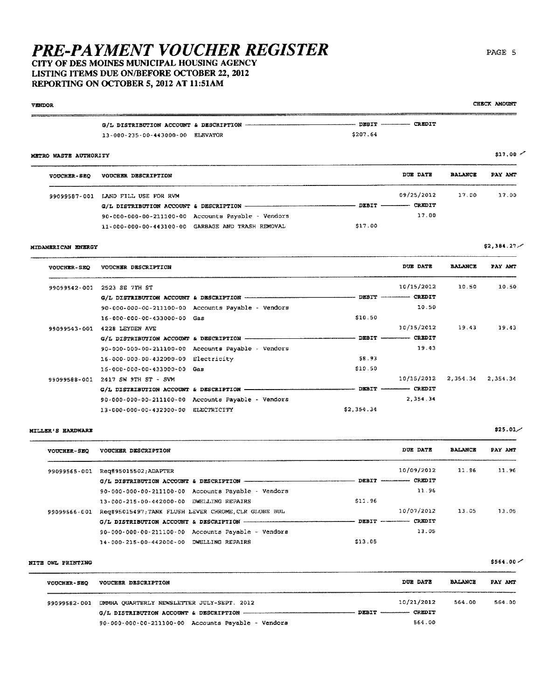### CITY OF DES MOINES MUNICIPAL HOUSING AGENCY LISTING ITEMS DUE ON/BEFORE OCTOBER 22, 2012 REPORTING ON OCTOBER 5, 2012 AT 11:51AM

13-000-235-00-443000-00 ELEVATOR

# **VENDOR** -- DEBIT ------------ CREDIT G/L DISTRIBUTION ACCOUNT & DESCRIPTION  $-$

#### METRO WASTE AUTHORITY

| <b>VOUCHER-SEQ</b> | VOUCHER DESCRIPTION                                |                | DUE DATE   | <b>BALANCE</b> | PAY AMT |
|--------------------|----------------------------------------------------|----------------|------------|----------------|---------|
| 99099587-001       | LAND FILL USE FOR RVM                              |                | 09/25/2012 | 17.00          | 17.00   |
|                    | G/L DISTRIBUTION ACCOUNT & DESCRIPTION             | $DBBIT$ —————— | CREDIT     |                |         |
|                    | 90-000-000-00-211100-00 Accounts Payable - Vendors |                | 17.00      |                |         |
|                    | 11-000-000-00-443100-00 GARBAGE AND TRASH REMOVAL  | \$17.00        |            |                |         |

\$207.64

#### MIDAMERICAN ENERGY

DUE DATE **BALANCE** PAY AMT VOUCHER-SEQ VOUCHER DESCRIPTION 10/15/2012 10.50 10.50 99099542-001 2523 SE 7TH ST - DEBIT ----------- CREDIT G/L DISTRIBUTION ACCOUNT & DESCRIPTION ------90-000-000-00-211100-00 Accounts Payable - Vendors 10.50 16-000-000-00-433000-00 Gas \$10.50  $10/15/2012$ 19.43 19.43 99099543-001 4228 LEYDEN AVE  $G/L$  DISTRIBUTION ACCOUNT & DESCRIPTION - $-$  DEBIT  $-$  CREDIT 19.43 90-000-000-00-211100-00 Accounts Payable - Vendors 58.93 16-000-000-00-432000-00 Electricity \$10.50 16-000-000-00-433000-00 Gas 99099588-001 2417 SW 9TH ST - SVM 10/15/2012 2,354.34 2,354.34 DEBIT ------- CREDIT 90-000-000-00-211100-00 Accounts Payable - Vendors 2,354.34 13-000-000-00-432000-00 ELECTRICITY \$2.354.34

#### **MILLER'S HARDWARE**

| <b>VOUCHER-SEQ</b> | VOUCHER DESCRIPTION                                            |                        | DUE DATE      | <b>BALANCE</b> | PAY AMT |
|--------------------|----------------------------------------------------------------|------------------------|---------------|----------------|---------|
| 99099565-001       | Rec#95015502; ADAPTER                                          |                        | 10/09/2012    | 11.96          | 11.96   |
|                    |                                                                |                        | <b>CREDIT</b> |                |         |
|                    | 90-000-000-00-211100-00 Accounts Payable - Vendors             |                        | 11.96         |                |         |
|                    | 13-000-215-00-442000-00 DWELLING REPAIRS                       | \$11.96                |               |                |         |
| 99099566-001       | Req#95015497;TANK FLUSH LEVER CHROME, CLR GLOBE BUL            |                        | 10/07/2012    | 13.05          | 13.05   |
|                    |                                                                | $DEBIT$ -------------- | CREDIT        |                |         |
|                    | $90 - 000 - 000 - 00 - 211100 - 00$ Accounts Payable - Vendors |                        | 13.05         |                |         |
|                    | 14-000-215-00-442000-00 DWELLING REPAIRS                       | \$13.05                |               |                |         |

#### NITE OWL PRINTING

| VOUCHER-SEQ  | VOUCHER DESCRIPTION                                            | <b>DUE DATE</b>             | <b>BALANCE</b> | PAY AMT |
|--------------|----------------------------------------------------------------|-----------------------------|----------------|---------|
| 99099582-001 | DMMHA OUARTERLY NEWSLETTER JULY-SEPT. 2012                     | 10/21/2012                  | 564.00         | 564.00  |
|              |                                                                | DEBIT -------------- CREDIT |                |         |
|              | $90 - 000 - 000 - 00 - 211100 - 00$ Accounts Payable - Vendors | 564.00                      |                |         |

### PAGE 5

CHECK AMOUNT

 $$17.00$   $\sim$ 

\$2.384.27

 $$25.01/$ 

 $$564.00 \swarrow$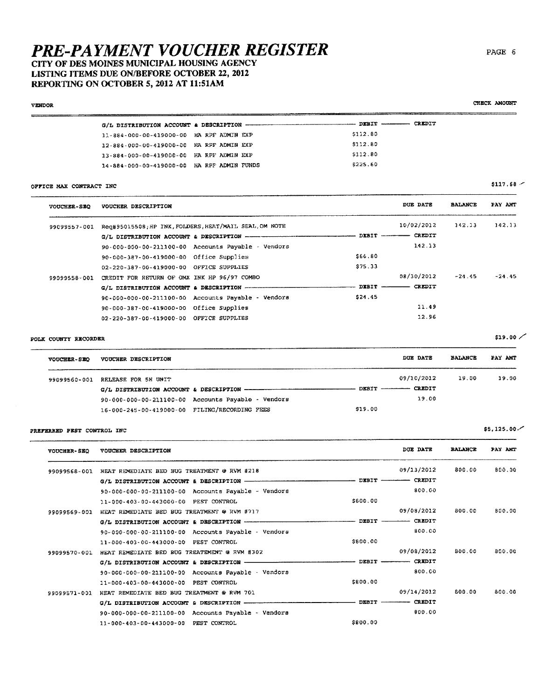CITY OF DES MOINES MUNICIPAL HOUSING AGENCY LISTING ITEMS DUE ON/BEFORE OCTOBER 22, 2012 REPORTING ON OCTOBER 5, 2012 AT 11:51AM

#### **VENDOR**

CHECK AMOUNT

|                                            |  |  |          | <b>CREDIT</b> |
|--------------------------------------------|--|--|----------|---------------|
| 11-884-000-00-419000-00 HA RPF ADMIN EXP   |  |  | \$112.80 |               |
| 12-884-000-00-419000-00 HA RPF ADMIN EXP   |  |  | 5112.80  |               |
| 13-884-000-00-419000-00 HA RPF ADMEN EXP   |  |  | \$112.80 |               |
| 14-884-000-00-419000-00 HA RPF ADMIN FUNDS |  |  | 5225.60  |               |
|                                            |  |  |          |               |

### OFFICE MAX CONTRACT INC

| <b>VOUCHER-SEO</b> | VOUCHER DESCRIPTION                                 |                                                        |                   | DUE DATE      | <b>BALANCE</b> | PAY AMT  |
|--------------------|-----------------------------------------------------|--------------------------------------------------------|-------------------|---------------|----------------|----------|
| 99099557-001       |                                                     | Req#95015508; HP INK, FOLDERS, HEAT/MAIL SEAL, OM NOTE |                   | 10/02/2012    | 142.13         | 142.13   |
|                    |                                                     |                                                        | $DEBIT$ --------- | <b>CREDIT</b> |                |          |
|                    |                                                     | 90-000-000-00-211100-00 Accounts Payable - Vendors     |                   | 1.42.13       |                |          |
|                    | 90-000-387-00-419000-00 Office Supplies             |                                                        | \$66.80           |               |                |          |
|                    | 02-220-387-00-419000-00 OFFICE SUPPLIES             |                                                        | \$75.33           |               |                |          |
| 99099558-001       | CREDIT FOR RETURN OF OMX INK HP 96/97 COMBO         |                                                        |                   | 08/30/2012    | $-24.45$       | $-24.45$ |
|                    | G/L DISTRIBUTION ACCOUNT & DESCRIPTION ------------ |                                                        | $PIBIT -$         | <b>CREDIT</b> |                |          |
|                    |                                                     | 90-000-000-00-211100-00 Accounts Payable - Vendors     | \$24.45           |               |                |          |
|                    | 90-000-387-00-419000-00 Office Supplies             |                                                        |                   | 11.49         |                |          |
|                    | 02-220-387-00-419000-00 OFFICE SUPPLIES             |                                                        |                   | 12.96         |                |          |

### POLK COUNTY RECORDER

| <b>VOUCHER-SEO</b> | VOUCHER DESCRIPTION                           |                                                                |         | DUE DATE                   | <b>BALANCE</b> | PAY ANT |
|--------------------|-----------------------------------------------|----------------------------------------------------------------|---------|----------------------------|----------------|---------|
| 99099560-001       | RELEASE FOR 5H UNIT                           |                                                                |         | 09/10/2012                 | 19.00          | 19.00   |
|                    |                                               |                                                                |         | DEBIT ------------- CREDIT |                |         |
|                    |                                               | $90 - 000 - 000 - 00 - 211100 - 00$ Accounts Payable - Vendors |         | 19.00                      |                |         |
|                    | 16-000-245-00-419000-00 FILING/RECORDING FEES |                                                                | \$19.00 |                            |                |         |

### PREFERRED PEST CONTROL INC

| <b>VOUCHER-SEO</b> | VOUCHER DESCRIPTION                                  |                | DUE DATE                 | <b>BALANCE</b> | PAY ANT |
|--------------------|------------------------------------------------------|----------------|--------------------------|----------------|---------|
| 99099568-001       | HEAT REMEDIATE BED BUG TREATMENT @ RVM #218          |                | 09/13/2012               | 800.00         | 800.00  |
|                    | G/L DISTRIBUTION ACCOUNT & DESCRIPTION -             |                | - DEBIT --------- CREDIT |                |         |
|                    | 90-000-000-00-211100-00 Accounts Payable - Vendors   |                | 800.00                   |                |         |
|                    | 11-000-403-00-443000-00 PEST CONTROL                 | \$800.00       |                          |                |         |
| 99099569-001       | HEAT REMEDIATE BED BUG TREATMENT @ RVM #717          |                | 09/08/2012               | 800.00         | 800.00  |
|                    | G/L DISTRIBUTION ACCOUNT & DESCRIPTION ------        | $DEFIT$ —      | CREDIT                   |                |         |
|                    | $90-000-000-00-211100-00$ Accounts Payable - Vendors |                | 800.00                   |                |         |
|                    | 11-000-403-00-443000-00 PEST CONTROL                 | \$800.00       |                          |                |         |
| 99099570-001       | HEAT REMEDIATE BED BUG TREATEMENT @ RVM #302         |                | 09/08/2012               | 800.00         | 800.00  |
|                    | G/L DISTRIBUTION ACCOUNT & DESCRIPTION -             | $DEBIT$ —————— | <b>CREDIT</b>            |                |         |
|                    | 90-000-000-00-211100-00 Accounts Payable - Vendors   |                | 800.00                   |                |         |
|                    | 11-000-403-00-443000-00 PEST CONTROL                 | <b>SB00.00</b> |                          |                |         |
| 99099571-001       | HEAT REMEDIATE BED BUG TREATMENT @ RVM 701           |                | 09/14/2012               | 800.00         | 800.00  |
|                    | G/L DISTRIBUTION ACCOUNT & DESCRIPTION ------        | $-$ DEBIT $-$  | <b>CREDIT</b>            |                |         |
|                    | 90-000-000-00-211100-00 Accounts Payable - Vendors   |                | 800.00                   |                |         |
|                    | 11-000-403-00-443000-00 PEST CONTROL                 | \$800.00       |                          |                |         |

PAGE 6

 $$19.00$ 

 $$117.68$ 

 $$5,125.00 \sim$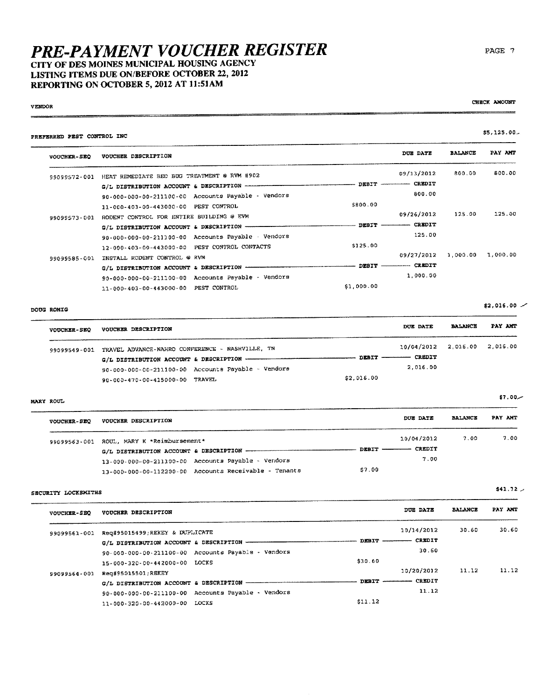# **PRE-PAYMENT VOUCHER REGISTER**<br>CITY OF DES MOINES MUNICIPAL HOUSING AGENCY

LISTING ITEMS DUE ON/BEFORE OCTOBER 22, 2012 REPORTING ON OCTOBER 5, 2012 AT 11:51AM

| PREFERRED PEST CONTROL INC |                                                              |                                                                            |                  |                | $$5,125.00-$      |
|----------------------------|--------------------------------------------------------------|----------------------------------------------------------------------------|------------------|----------------|-------------------|
| VOUCHER-SEQ                | VOUCHER DESCRIPTION                                          |                                                                            | DUE DATE         | <b>BALANCE</b> | PAY AMT           |
|                            | 99099572-001 HEAT REMEDIATE BED BUG TREATMENT @ RVM #902     |                                                                            | 09/13/2012       | 800.00         | 800.00            |
|                            | G/L DISTRIBUTION ACCOUNT & DESCRIPTION -----------           |                                                                            | $DEBIT$ $CREDIT$ |                |                   |
|                            | 90-000-000-00-211100-00 Accounts Payable - Vendors           |                                                                            | 800.00           |                |                   |
|                            | 11-000-403-00-443000-00 PEST CONTROL                         | 5800.00                                                                    |                  |                |                   |
|                            | 99099573-001 RODENT CONTROL FOR ENTIRE BUILDING @ EVM        |                                                                            | 09/26/2012       | 125.00         | 125.00            |
|                            | G/L DISTRIBUTION ACCOUNT & DESCRIPTION -                     | $-$ DEBIT $-$                                                              | - CREDIT         |                |                   |
|                            | 90-000-000-00-211100-00 Accounts Payable Vendors             |                                                                            | 125.00           |                |                   |
|                            | 12-000-403-00-443000-00 PEST CONTROL CONTACTS                | \$125.00                                                                   |                  |                |                   |
|                            | 99099585-001 INSTALL RODENT CONTROL @ RVM                    |                                                                            | 09/27/2012       |                | 1,000.00 1,000.00 |
|                            | G/L DISTRIBUTION ACCOUNT & DESCRIPTION -                     | $\rule{1em}{0.15mm}$ $\rule{1em}{0.15mm}$ $\frac{}{\phantom{0.15mm}0.15}}$ | -- CREDIT        |                |                   |
|                            | 90-000-000-00-211100-00 Accounts Payable - Vendors           |                                                                            | 1,000.00         |                |                   |
|                            | 11-000-403-00-443000-00 PEST CONTROL                         | \$1,000.00                                                                 |                  |                |                   |
| DOUG ROMIG                 |                                                              |                                                                            |                  |                | $$2,016.00$ $-$   |
| <b>VOUCHER-SEQ</b>         | VOUCHER DESCRIPTION                                          |                                                                            | <b>DUE DATE</b>  | <b>BALANCE</b> | PAY AMT           |
|                            | 99099549-001 TRAVEL ADVANCE-NAHRO CONFERENCE - NASHVILLE, TN |                                                                            | 10/04/2012       | 2.016.00       | 2,016.00          |
|                            |                                                              | $ \sim$ $-$                                                                | - CREDIT         |                |                   |
|                            | 90-000-000-00-211100-00 Accounts Payable - Vendors           |                                                                            | 2,016.00         |                |                   |
|                            | 90-000-470-00-415000-00 TRAVEL                               | \$2,016.00                                                                 |                  |                |                   |
| MARY ROUL                  |                                                              |                                                                            |                  |                | $$7,00-$          |
| VOUCHER-SEQ                | VOUCHER DESCRIPTION                                          |                                                                            | DUE DATE         | <b>BALANCE</b> | PAY AMT           |
|                            | 99099563-001 ROUL, MARY K *Reimbursement*                    |                                                                            | 10/04/2012       | 7.00           | 7.00              |
|                            |                                                              |                                                                            | — CREDIT         |                |                   |
|                            | 13-000-000-00-211100-00 Accounts Payable - Vendors           |                                                                            | 7.00             |                |                   |
|                            | 13-000-000-00-112200-00 Accounts Receivable - Tenants        | \$7.00                                                                     |                  |                |                   |
| SECURITY LOCKSMITHS        |                                                              |                                                                            |                  |                | 541.72            |
| <b>VOUCHER-SEQ</b>         | VOUCHER DESCRIPTION                                          |                                                                            | DUE DATE         | <b>BALANCE</b> | PAY AMT           |
|                            | 99099561-001 Rec#95015499:REKEY & DUPLICATE                  |                                                                            | 10/14/2012       | 30.60          | 30.60             |

| 99099561-001 | Reg#95015499;REKEY & DUPLICATE |                                                    |         | 10/14/2012                 | 30.60 | 30.60 |
|--------------|--------------------------------|----------------------------------------------------|---------|----------------------------|-------|-------|
|              |                                |                                                    |         | CREDIT<br>DEBIT ---------- |       |       |
|              |                                | 90-000-000-00-211100-00 Accounts Payable - Vendors |         | 30.60                      |       |       |
|              | 15-000-320-00-442000-00 LOCKS  |                                                    | \$30.60 |                            |       |       |
| 99099564-001 | Reg#95015501;REKEY             |                                                    |         | 10/20/2012                 | 11.12 | 11.12 |
|              |                                |                                                    |         | DEBIT ------------- CREDIT |       |       |
|              |                                | 90-000-000-00-211100-00 Accounts Payable - Vendors |         | 11.12                      |       |       |
|              | 11-000-320-00-442000-00 LOCKS  |                                                    | \$11.12 |                            |       |       |

 $\overline{\phantom{a}}$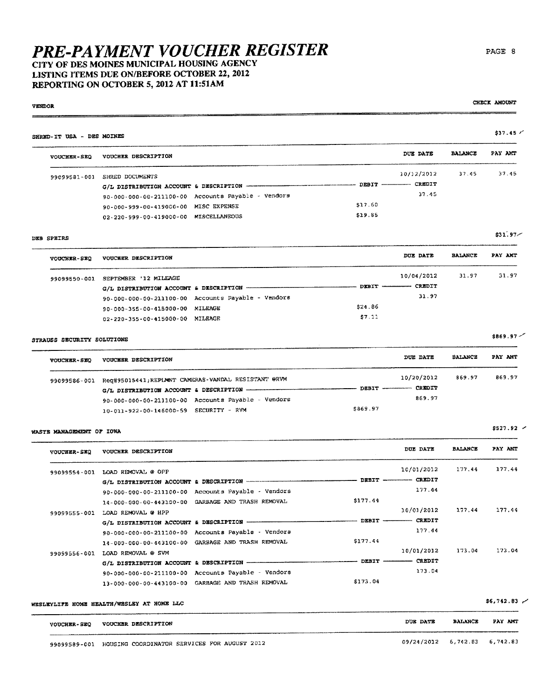## CITY OF DES MOINES MUNICIPAL HOUSING AGENCY LISTING ITEMS DUE ON/BEFORE OCTOBER 22, 2012 REPORTING ON OCTOBER 5, 2012 AT 11:51AM

#### **WOUCHEL CRO** VOUCHER DESCRIPTION

SHRED-IT USA - DES MOINES

| マンシレハロハードーマ |                                                    |                     |       |
|-------------|----------------------------------------------------|---------------------|-------|
|             | 99099581-001 SHRED DOCUMENTS                       | 10/12/2012<br>37.45 | 37.45 |
|             |                                                    |                     |       |
|             | 90-000-000-00-211100-00 Accounts Payable - Vendors | 37.45               |       |
|             | 90-000-999-00-419000-00 MISC EXPENSE               | \$17.60             |       |
|             | 02-220-999-00-419000-00 MISCELLANEOUS              | \$19.85             |       |
|             |                                                    |                     |       |

#### DEB SPEIRS

**VENDOR** 

| <b>VOUCHER-SEQ</b> | VOUCHER DESCRIPTION             |                                                           |        | DUE DATE                          | <b>BALANCE</b> | PAY AMT |
|--------------------|---------------------------------|-----------------------------------------------------------|--------|-----------------------------------|----------------|---------|
| 99099550-001       | SEPTEMBER '12 MILEAGE           |                                                           |        | 10/04/2012                        | 31.97          | 31.97   |
|                    |                                 | G/L DISTRIBUTION ACCOUNT & DESCRIPTION ------------------ |        | <b>CREDIT</b><br>$DEBIT$ -------- |                |         |
|                    |                                 | 90-000-000-00-211100-00 Accounts Payable - Vendors        |        | 31.97                             |                |         |
|                    | 90-000-355-00-415000-00 MILEAGE |                                                           | 524.86 |                                   |                |         |
|                    | 02-220-355-00-415000-00 MILEAGE |                                                           | \$7.11 |                                   |                |         |

### STRAUSS SECURITY SOLUTIONS

| <b>VOUCHER-SEQ</b> | VOUCHER DESCRIPTION                                              | DUE DATE              | <b>BALANCE</b> | PAY AMT |
|--------------------|------------------------------------------------------------------|-----------------------|----------------|---------|
|                    | 99099586-001 Req#95015441; REPLMNT CAMERAS-VANDAL RESISTANT @RVM | 10/20/2012            | 869.97         | 869.97  |
|                    |                                                                  | DEBIT -------- CREDIT |                |         |
|                    | 90-000-000-00-211100-00 Accounts Payable - Vendors               | 869.97                |                |         |
|                    | 10-011-922-00-146000-59 SECURITY - RVM                           | \$869.97              |                |         |

#### WASTE MANAGEMENT OF IOWA

| <b>VOUCHER-SEQ</b> | VOUCHER DESCRIPTION                              |                                                    |          | DUE DATE                             | <b>BALANCE</b> | PAY AMT |
|--------------------|--------------------------------------------------|----------------------------------------------------|----------|--------------------------------------|----------------|---------|
| 99099554-001       | LOAD REMOVAL @ OPP                               |                                                    |          | 10/01/2012                           | 177.44         | 177.44  |
|                    | G/L DISTRIBUTION ACCOUNT & DESCRIPTION --------- |                                                    |          | <b>CREDIT</b><br>$DEBIT$ ----------- |                |         |
|                    |                                                  | 90-000-000-00-211100-00 Accounts Payable - Vendors |          | 177.44                               |                |         |
|                    |                                                  | 14-000-000-00-443100-00 GARBAGE AND TRASH REMOVAL  | \$177.44 |                                      |                |         |
| 99099555-001       | LOAD REMOVAL @ HPP                               |                                                    |          | 10/01/2012                           | 177.44         | 177.44  |
|                    | G/L DISTRIBUTION ACCOUNT & DESCRIPTION -         |                                                    | DEBIT    | <b>CREDIT</b>                        |                |         |
|                    |                                                  | 90-000-000-00-211100-00 Accounts Payable - Vendors |          | 177.44                               |                |         |
|                    |                                                  | 14-000-000-00-443100-00 GARBAGE AND TRASH REMOVAL  | \$177.44 |                                      |                |         |
| 99099556-001       | LOAD REMOVAL @ SVM                               |                                                    |          | 10/01/2012                           | 173.04         | 173.04  |
|                    | G/L DISTRIBUTION ACCOUNT & DESCRIPTION           |                                                    | DEBIT    | <b>CREDIT</b>                        |                |         |
|                    |                                                  | 90-000-000-00-211100-00 Accounts Payable - Vendors |          | 173.04                               |                |         |
|                    |                                                  | 13-000-000-00-443100-00 GARBAGE AND TRASH REMOVAL  | \$173.04 |                                      |                |         |

WESLEYLIFE HOME HEALTH/WESLEY AT HOME LLC

. . . . . . . . . . . . . . . . . . . .

| $$6,742.83$ / |  |
|---------------|--|
|---------------|--|

| <b>VOUCHER-SEQ</b> | VOUCHER DESCRIPTION                          | DUE DATE                     | <b>BALANCE</b> | PAY AMT |
|--------------------|----------------------------------------------|------------------------------|----------------|---------|
|                    |                                              |                              |                |         |
| 99099589-001       | HOUSING COORDINATOR SERVICES FOR AUGUST 2012 | 09/24/2012 6,742.83 6,742.83 |                |         |

### PAGE 8

CHECK AMOUNT

DUE DATE BALANCE PAY AMT

 $$37.45$  /

 $$869.97$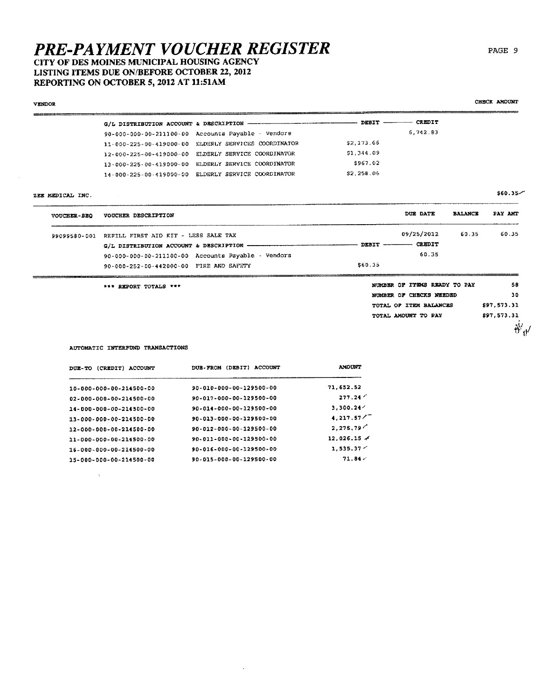# **PRE-PAYMENT VOUCHER REGISTER**<br>CITY OF DES MOINES MUNICIPAL HOUSING AGENCY

# LISTING ITEMS DUE ON/BEFORE OCTOBER 22, 2012 REPORTING ON OCTOBER 5, 2012 AT 11:51AM

| VENDOR             |                                                         |            |                              |                | CHECK AMOUNT |
|--------------------|---------------------------------------------------------|------------|------------------------------|----------------|--------------|
|                    | G/L DISTRIBUTION ACCOUNT & DESCRIPTION -----            | - DEBIT -  | CREDIT                       |                |              |
|                    | 90-000-000-00-211100-00 Accounts Payable - Vendors      |            | 6.742.83                     |                |              |
|                    | ELDERLY SERVICES COORDINATOR<br>11-000-225-00-419000-00 | \$2,173.66 |                              |                |              |
|                    | 12-000-225-00-419000-00 ELDERLY SERVICE COORDINATOR     | 51,344.09  |                              |                |              |
|                    | 13-000-225-00-419000-00 ELDERLY SERVICE COORDINATOR     | \$967.02   |                              |                |              |
|                    | 14-000-225-00-419000-00 ELDERLY SERVICE COORDINATOR     | \$2,258.06 |                              |                |              |
| ZEE MEDICAL INC.   |                                                         |            |                              |                | \$60.35      |
| <b>VOUCEER-SEQ</b> | VOUCHER DESCRIPTION                                     |            | DUE DATE                     | <b>BALANCE</b> | PAY AMT      |
| 99099580-001       | REFILL FIRST AID KIT - LESS SALE TAX                    |            | 09/25/2012                   | 60.35          | 60.35        |
|                    |                                                         |            | DEBIT ---------- CREDIT      |                |              |
|                    | 90-000-000-00-211100-00 Accounts Payable - Vendors      |            | 60.35                        |                |              |
|                    | 90-000-252-00-442000-00 FIRE AND SAFETY                 | \$60.35    |                              |                |              |
|                    | *** REPORT TOTALS ***                                   |            | NUMBER OF ITEMS READY TO PAY |                | 58           |
|                    |                                                         |            | NUMBER OF CHECKS NEEDED      |                | 30           |
|                    |                                                         |            | TOTAL OF ITEM BALANCES       |                | \$97.573.31  |
|                    |                                                         |            | TOTAL AMOUNT TO PAY          |                | \$97,573.31  |
|                    |                                                         |            |                              |                | $\delta'$    |

AUTOMATIC INTERFUND TRANSACTIONS

 $\sim 3\%$ 

| DUE-TO (CREDIT) ACCOUNT | (DEBIT)<br>ACCOUNT<br><b>DUE - FRON</b> | <b>AMOUNT</b>      |
|-------------------------|-----------------------------------------|--------------------|
| 10-000-000-00-214500-00 | 90-010-000-00-129500-00                 | 71.652.52          |
| 02-000-000-00-214500-00 | 90-017-000-00-129500-00                 | 277.24'            |
| 14-000-000-00-214500-00 | 90-014-000-00-129500-00                 | 3.300.24           |
| 13-000-000-00-214500-00 | 90-013-000-00-129500-00                 | 4,217.57           |
| 12-000-000-00-214500-00 | 90-012-000-00-129500-00                 | 2, 275, 79'        |
| 11-000-000-00-214500-00 | 90-011-000-00-129500-00                 | $12.026.15 \times$ |
| 16-000-000-00-214500-00 | 90-016-000-00-129500-00                 | 1.535.37           |
| 15-000-000-00-214500-00 | 90-015-000-00-129500-00                 | 71.84/             |

 $\mathcal{A}$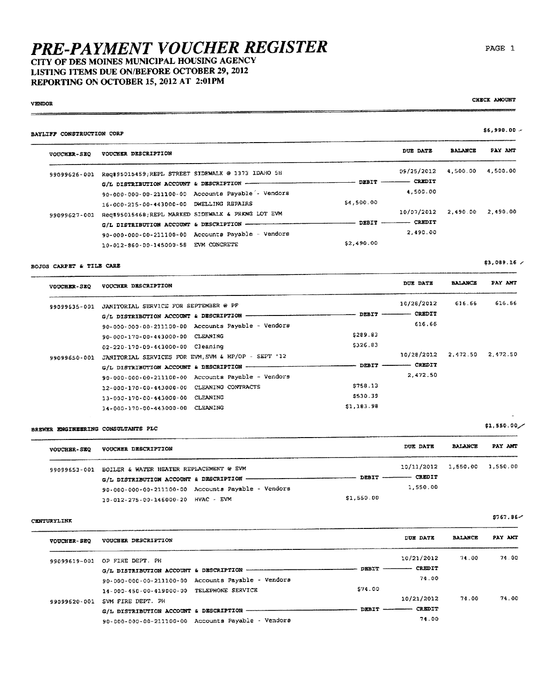CITY OF DES MOINES MUNICIPAL HOUSING AGENCY LISTING ITEMS DUE ON/BEFORE OCTOBER 29, 2012 REPORTING ON OCTOBER 15, 2012 AT 2:01PM

#### **VENDOR**  $-$

 $\sim$ 

#### CHECK AMOUNT

# $$6,990.00 -$

| <b>VOUCHER-SEQ</b> | VOUCHER DESCRIPTION                                |                 | DUE DATE                | <b>BALANCE</b> | PAY AMT  |
|--------------------|----------------------------------------------------|-----------------|-------------------------|----------------|----------|
| 99099626-001       | Req#95015459;REPL STREET SIDEWALK @ 1373 IDAHO 5H  |                 | 09/25/2012              | 4.500.00       | 4,500.00 |
|                    | G/L DISTRIBUTION ACCOUNT & DESCRIPTION ----------- |                 | DEBIT ---------- CREDIT |                |          |
|                    | 90-000-000-00-211100-00 Accounts Payable - Vendors |                 | 4.500.00                |                |          |
|                    | 16-000-215-00-443000-00 DWELLING REPAIRS           | \$4,500.00      |                         |                |          |
| 99099627-001       | Req#95015468;REPL MARKED SIDEWALK & PRKNG LOT EVM  |                 | 10/07/2012              | 2.490.00       | 2.490.00 |
|                    | G/L DISTRIBUTION ACCOUNT & DESCRIPTION ---------   | $DEFI'$ ------- | <b>CREDIT</b>           |                |          |
|                    | 90-000-000-00-211100-00 Accounts Payable - Vendors |                 | 2.490.00                |                |          |
|                    | 10-012-860-00-145000-58 EVM CONCRETE               | \$2,490.00      |                         |                |          |
|                    |                                                    |                 |                         |                |          |

#### BOJOS CARPET & TILE CARE

BAYLIFF CONSTRUCTION CORP

 $$3,089.16$  / 

| <b>VOUCHER-SEQ</b> | VOUCHER DESCRIPTION                                 |            | DUE DATE      | <b>BALANCE</b> | PAY AMT  |
|--------------------|-----------------------------------------------------|------------|---------------|----------------|----------|
| 99099635-001       | JANITORIAL SERVICE FOR SEPTEMBER @ PF               |            | 10/28/2012    | 616.66         | 616.66   |
|                    | G/L DISTRIBUTION ACCOUNT & DESCRIPTION              | DEBIT      | <b>CREDIT</b> |                |          |
|                    | 90-000-000-00-211100-00 Accounts Payable - Vendors  |            | 616.66        |                |          |
|                    | 90-000-170-00-443000-00 CLEANING                    | \$289.83   |               |                |          |
|                    | 02-220-170-00-443000-00 Cleaning                    | 5326.83    |               |                |          |
| 99099650-001       | JANITORIAL SERVICES FOR EVM, SVM & HP/OP - SEPT '12 |            | 10/28/2012    | 2.472.50       | 2.472.50 |
|                    | G/L DISTRIBUTION ACCOUNT & DESCRIPTION -            | DEBIT      | CREDIT        |                |          |
|                    | 90-000-000-00-211100-00 Accounts Payable - Vendors  |            | 2,472.50      |                |          |
|                    | 12-000-170-00-443000-00 CLEANING CONTRACTS          | \$758.13   |               |                |          |
|                    | 13-000-170-00-443000-00 CLEANING                    | \$530.39   |               |                |          |
|                    | 14-000-170-00-443000-00 CLEANING                    | \$1,183.98 |               |                |          |

### BREWER ENGINEERING CONSULTANTS PLC

| <b>VOUCHER-SEQ</b> | VOUCHER DESCRIPTION                                  |            | DUE DATE                     | <b>BALANCE</b> | PAY AMT |
|--------------------|------------------------------------------------------|------------|------------------------------|----------------|---------|
|                    | 99099653-001 BOILER & WATER HEATER REPLACEMENT @ EVM |            | 10/11/2012 1,550.00 1,550.00 |                |         |
|                    | G/L DISTRIBUTION ACCOUNT & DESCRIPTION -----------   |            | DEBIT ------------ CREDIT    |                |         |
|                    | 90-000-000-00-211100-00 Accounts Payable - Vendors   |            | 1,550.00                     |                |         |
|                    | 10-012-275-00-146000-20 HVAC - EVM                   | \$1,550.00 |                              |                |         |

### CENTURYLINK

| VOUCHER-SEO  | VOUCHER DESCRIPTION                                |              | DUE DATE      | <b>BALANCE</b> | PAY AMT |
|--------------|----------------------------------------------------|--------------|---------------|----------------|---------|
| 99099619-001 | OP FIRE DEPT. PH                                   |              | 10/21/2012    | 71.00          | 74.00   |
|              | G/L DISTRIBUTION ACCOUNT & DESCRIPTION ----------- | <b>DEBIT</b> | <b>CREDIT</b> |                |         |
|              | 90-000-000-00-211100-00 Accounts Payable - Vendors |              | 74.00         |                |         |
|              | 14-000-450-00-419000-00 TELEPHONE SERVICE          | \$74.00      |               |                |         |
| 99099620-001 | SVM FIRE DEPT. PH                                  |              | 10/21/2012    | 74.00          | 74.00   |
|              | G/L DISTRIBUTION ACCOUNT & DESCRIPTION             | DEBIT        | CREDIT        |                |         |
|              | 90-000-000-00-211100-00 Accounts Payable - Vendors |              | 74.00         |                |         |

 $$1,550,00/$ 

 $$767.86-$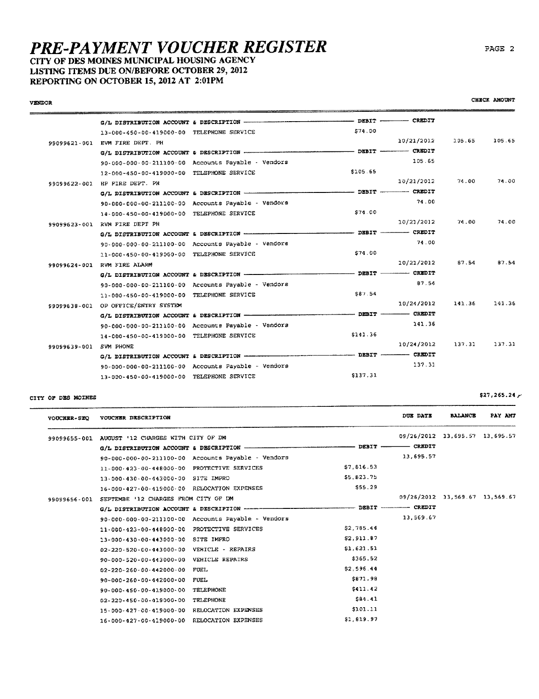CITY OF DES MOINES MUNICIPAL HOUSING AGENCY LISTING ITEMS DUE ON/BEFORE OCTOBER 29, 2012 REPORTING ON OCTOBER 15, 2012 AT 2:01PM

#### **VENDOR**

PAGE 2

|              | 13-000-450-00-419000-00 TELEPHONE SERVICE |                                                    | 574.00   |            |        |        |
|--------------|-------------------------------------------|----------------------------------------------------|----------|------------|--------|--------|
|              | 99099621-001 EVM FIRE DEPT. PH            |                                                    |          | 10/21/2012 | 105.65 | 105.65 |
|              |                                           |                                                    |          |            |        |        |
|              |                                           | 90-000-000-00-211100-00 Accounts Payable - Vendors |          | 105.65     |        |        |
|              | 12-000-450-00-419000-00 TELEPHONE SERVICE |                                                    | \$105.65 |            |        |        |
| 99099622-001 | HP FIRE DEPT. PH                          |                                                    |          | 10/21/2012 | 74.00  | 74.00  |
|              |                                           |                                                    |          |            |        |        |
|              |                                           | 90-000-000-00-211100-00 Accounts Payable - Vendors |          | 74.00      |        |        |
|              | 14-000-450-00-419000-00 TELEPHONE SERVICE |                                                    | \$74.00  |            |        |        |
|              | 99099623-001 RVM FIRE DEPT PH             |                                                    |          | 10/21/2012 | 74.00  | 74.00  |
|              |                                           |                                                    |          |            |        |        |
|              |                                           | 90-000-000-00-211100-00 Accounts Payable - Vendors |          | 74.00      |        |        |
|              | 11-000-450-00-419000-00 TELEPHONE SERVICE |                                                    | \$74.00  |            |        |        |
|              | 99099624-001 RVM FIRE ALARM               |                                                    |          | 10/21/2012 | 87.54  | 87.54  |
|              |                                           |                                                    |          |            |        |        |
|              |                                           | 90-000-000-00-211100-00 Accounts Payable - Vendors |          | 87.54      |        |        |
|              | 11-000-450-00-419000-00 TELEPHONE SERVICE |                                                    | \$87.54  |            |        |        |
| 99099638-001 | OP OFFICE/ENTRY SYSTEM                    |                                                    |          | 10/24/2012 | 141.36 | 141.36 |
|              |                                           |                                                    |          |            |        |        |
|              |                                           | 90-000-000-00-211100-00 Accounts Payable - Vendors |          | 141.36     |        |        |
|              | 14-000-450-00-419000-00 TELEPHONE SERVICE |                                                    | \$141.36 |            |        |        |
| 99099639-001 | SVM PHONE                                 |                                                    |          | 10/24/2012 | 137.31 | 137.31 |
|              |                                           |                                                    |          |            |        |        |
|              |                                           | 90-000-000-00-211100-00 Accounts Payable - Vendors |          | 137.31     |        |        |
|              | 13-000-450-00-419000-00 TELEPHONE SERVICE |                                                    | \$137.31 |            |        |        |

#### CITY OF DES MOINES

DUE DATE **BALANCE** PAY AMT VOUCHER-SEQ VOUCHER DESCRIPTION 09/26/2012 13,695.57 13,695.57 99099655-001 AUGUST '12 CHARGES WITH CITY OF DM  $-$  CREDIT  $G/L$  DISTRIBUTION ACCOUNT & DESCRIPTION - $-$  DEBIT  $-$ 90-000-000-00-211100-00 Accounts Payable - Vendors 13,695.57 \$7,816.53 11-000-423-00-448000-00 PROTECTIVE SERVICES \$5.823.75 13-000-430-00-443000-00 SITE IMPRO \$55.29 16-000-427-00-419000-00 RELOCATION EXPENSES 09/26/2012 13,569.67 13,569.67 99099656-001 SEPTEMBE '12 CHARGES FROM CITY OF DM ------ DEBIT ----------- CREDIT G/L DISTRIBUTION ACCOUNT & DESCRIPTION -----13,569.67 90-000-000-00-211100-00 Accounts Payable - Vendors \$2.785.44 11-000-423-00-448000-00 PROTECTIVE SERVICES 13-000-430-00-443000-00 SITE IMPRO \$2,911.87  $$1,621.51$ 02-220-520-00-443000-00 VEHICLE - REPAIRS \$365.52 90-000-520-00-443000-00 VEHICLE REPAIRS \$2,596.44 02-220-260-00-442000-00 FUEL \$871.98 90-000-260-00-442000-00 FUEL 90-000-450-00-419000-00 TELEPHONE \$411.42 02-220-450-00-419000-00 TELEPHONE  $$84.41$  $$101.11$ 15-000-427-00-419000-00 RELOCATION EXPENSES \$1,819.97 16-000-427-00-419000-00 RELOCATION EXPENSES

 $$27,265.24$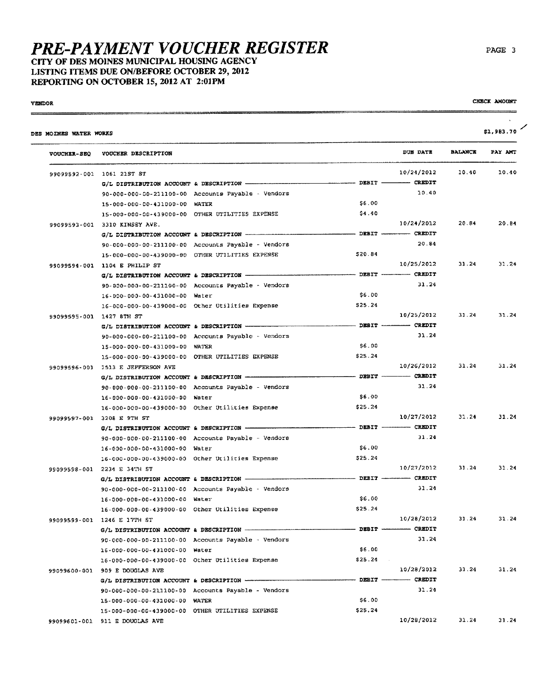CITY OF DES MOINES MUNICIPAL HOUSING AGENCY LISTING ITEMS DUE ON/BEFORE OCTOBER 29, 2012 REPORTING ON OCTOBER 15, 2012 AT 2:01PM

**VENDOR**  $\equiv$ 

| CHECK AMOUNT |
|--------------|
|              |

| VOUCHER-SEQ              | VOUCHER DESCRIPTION                                        |                                                                                          | DUE DATE                  | <b>BALANCE</b> | PAY AMT |
|--------------------------|------------------------------------------------------------|------------------------------------------------------------------------------------------|---------------------------|----------------|---------|
|                          | 99099592-001 1061 21ST ST                                  |                                                                                          | 10/24/2012                | 10.40          | 10.40   |
|                          |                                                            |                                                                                          |                           |                |         |
|                          | 90-000-000-00-211100-00 Accounts Payable - Vendors         |                                                                                          | 10.40                     |                |         |
|                          | 15-000-000-00-431000-00 WATER                              | \$6.00                                                                                   |                           |                |         |
|                          | 15-000-000-00-439000-00 OTHER UTILITIES EXPENSE            | \$4.40                                                                                   |                           |                |         |
|                          | 99099593-001 3310 KINSEY AVE.                              |                                                                                          | 10/24/2012                | 20.84          | 20.84   |
|                          | G/L DISTRIBUTION ACCOUNT & DESCRIPTION ------------------- | DEBIT CREDIT                                                                             |                           |                |         |
|                          | 90-000-000-00-211100-00 Accounts Payable - Vendors         |                                                                                          | 20.84                     |                |         |
|                          | 15-000-000-00-439000-00 OTHER UTILITIES EXPENSE            | \$20.84                                                                                  |                           |                |         |
|                          | 99099594-001 1104 E PHILIP ST                              |                                                                                          | 10/25/2012                | 31.24          | 31.24   |
|                          |                                                            |                                                                                          |                           |                |         |
|                          | 90-000-000-00-211100-00 Accounts Payable - Vendors         |                                                                                          | 31.24                     |                |         |
|                          | 16-000-000-00-431000-00 Water                              | \$6.00                                                                                   |                           |                |         |
|                          | 16-000-000-00-439000-00 Other Utilities Expense            | \$25.24                                                                                  |                           |                |         |
| 99099595-001 1427 8TH ST |                                                            |                                                                                          | 10/25/2012                | 31.24          | 31.24   |
|                          | G/L DISTRIBUTION ACCOUNT & DESCRIPTION -                   | -------------- DEBIT ------------ CREDIT                                                 |                           |                |         |
|                          | 90-000-000-00-211100-00 Accounts Payable - Vendors         |                                                                                          | 31.24                     |                |         |
|                          | 15-000-000-00-431000-00 WATER                              | \$6.00                                                                                   |                           |                |         |
|                          | 15-000-000-00-439000-00 OTHER UTILITIES EXPENSE            | \$25.24                                                                                  |                           |                |         |
|                          | 99099596-001 1513 E JEFFERSON AVE                          |                                                                                          | 10/26/2012                | 31.24          | 31.24   |
|                          | G/L DISTRIBUTION ACCOUNT & DESCRIPTION --                  | $\begin{array}{cccc}\n - \end{array}$ DEBIT $\begin{array}{cccc}\n - \end{array}$ CREDIT |                           |                |         |
|                          | 90-000-000-00-211100-00 Accounts Payable - Vendors         |                                                                                          | 31.24                     |                |         |
|                          | 16-000-000-00-431000-00 Water                              | \$6.00                                                                                   |                           |                |         |
|                          | 16-000-000-00-439000-00 Other Otilities Expense            | \$25.24                                                                                  |                           |                |         |
|                          | 99099597-001 3208 E 9TH ST                                 |                                                                                          | 10/27/2012                | 31.24          | 31.24   |
|                          |                                                            |                                                                                          |                           |                |         |
|                          | 90-000-000-00-211100-00 Accounts Payable - Vendors         |                                                                                          | 31.24                     |                |         |
|                          | 16-000-000-00-431000-00 Water                              | \$6.00                                                                                   |                           |                |         |
|                          | 16-000-000-00-439000-00 Other Utilities Expense            | \$25.24                                                                                  |                           |                |         |
|                          | 99099598-001 2234 E 34TH ST                                |                                                                                          | 10/27/2012                | 31.24          | 31.24   |
|                          |                                                            |                                                                                          |                           |                |         |
|                          | 90-000-000-00-211100-00 Accounts Payable - Vendors         |                                                                                          | 31.24                     |                |         |
|                          | 16-000-000-00-431000-00 Water                              | \$6.00                                                                                   |                           |                |         |
|                          | 16-000-000-00-439000-00 Other Utilities Expense            | \$25.24                                                                                  |                           |                |         |
|                          | 99099599-001 1246 E 17TH ST                                |                                                                                          | 10/28/2012                | 31.24          | 31.24   |
|                          |                                                            |                                                                                          | - DEBIT ---------- CREDIT |                |         |
|                          | 90-000-000-00-211100-00 Accounts Payable - Vendors         |                                                                                          | 31.24                     |                |         |
|                          | 16-000-000-00-431000-00 Water                              | \$6.00                                                                                   |                           |                |         |
|                          | 16-000-000-00-439000-00 Other Otilities Expense            | \$25.24<br>$\sim 100$                                                                    |                           |                |         |
|                          | 99099600-001 909 E DOUGLAS AVE                             |                                                                                          | 10/28/2012                | 31.24          | 31.24   |
|                          |                                                            | --------- DEBIT ------------ CREDIT                                                      |                           |                |         |
|                          | 90-000-000-00-211100-00 Accounts Payable - Vendors         |                                                                                          | 31.24                     |                |         |
|                          | 15-000-000-00-431000-00 WATER                              | \$6.00                                                                                   |                           |                |         |
|                          | 15-000-000-00-439000-00 OTHER UTILITIES EXPENSE            | \$25.24                                                                                  |                           |                |         |
|                          |                                                            |                                                                                          |                           |                |         |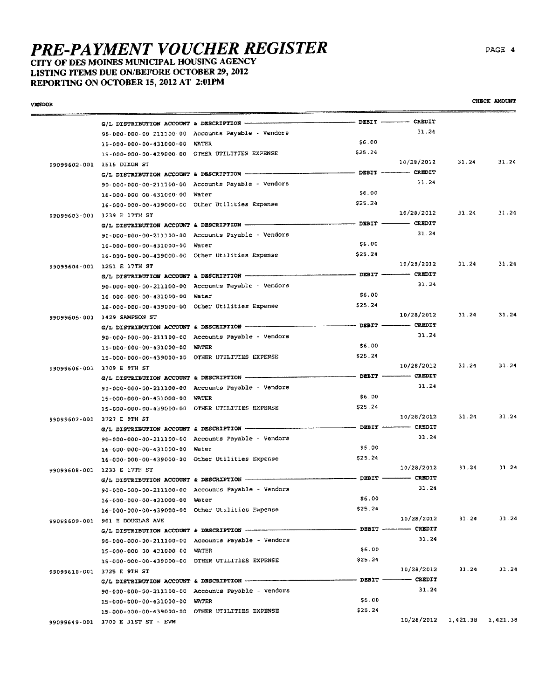CITY OF DES MOINES MUNICIPAL HOUSING AGENCY LISTING ITEMS DUE ON/BEFORE OCTOBER 29, 2012 REPORTING ON OCTOBER 15, 2012 AT 2:01PM

| VENDOR |                                                                          |                                                    |                                                                                                                                |                                                                                                                                                                                                                                                                                                                                                                                                                                                                                 |          | CHECK AMOUNT |
|--------|--------------------------------------------------------------------------|----------------------------------------------------|--------------------------------------------------------------------------------------------------------------------------------|---------------------------------------------------------------------------------------------------------------------------------------------------------------------------------------------------------------------------------------------------------------------------------------------------------------------------------------------------------------------------------------------------------------------------------------------------------------------------------|----------|--------------|
|        |                                                                          |                                                    |                                                                                                                                |                                                                                                                                                                                                                                                                                                                                                                                                                                                                                 |          |              |
|        |                                                                          | 90-000-000-00-211100-00 Accounts Payable - Vendors |                                                                                                                                | 31.24                                                                                                                                                                                                                                                                                                                                                                                                                                                                           |          |              |
|        | 15-000-000-00-431000-00 WATER                                            |                                                    | \$6.00                                                                                                                         |                                                                                                                                                                                                                                                                                                                                                                                                                                                                                 |          |              |
|        |                                                                          | 15-000-000-00-439000-00 OTHER UTILITIES EXPENSE    | \$25.24                                                                                                                        |                                                                                                                                                                                                                                                                                                                                                                                                                                                                                 |          |              |
|        | 99099602-001 1515 DIXON ST                                               |                                                    |                                                                                                                                | 10/28/2012                                                                                                                                                                                                                                                                                                                                                                                                                                                                      | 31.24    | 31.24        |
|        |                                                                          | G/L DISTRIBUTION ACCOUNT & DESCRIPTION ----------- | $\longrightarrow$ DEBIT $\longrightarrow$ CREDIT                                                                               |                                                                                                                                                                                                                                                                                                                                                                                                                                                                                 |          |              |
|        |                                                                          | 90-000-000-00-211100-00 Accounts Payable - Vendors |                                                                                                                                | 31.24                                                                                                                                                                                                                                                                                                                                                                                                                                                                           |          |              |
|        | 16-000-000-00-431000-00 Water                                            |                                                    | 56.00                                                                                                                          |                                                                                                                                                                                                                                                                                                                                                                                                                                                                                 |          |              |
|        |                                                                          | 16-000-000-00-439000-00 Other Utilities Expense    | \$25.24                                                                                                                        |                                                                                                                                                                                                                                                                                                                                                                                                                                                                                 |          |              |
|        | 99099603-001 1239 E 17TH ST                                              |                                                    |                                                                                                                                | 10/28/2012                                                                                                                                                                                                                                                                                                                                                                                                                                                                      | 31.24    | 31.24        |
|        | G/L DISTRIBUTION ACCOUNT & DESCRIPTION -                                 |                                                    | $\begin{minipage}{0.9\linewidth} \textbf{DBBIT} \begin{minipage}{0.9\linewidth} \textbf{CREDIT} \end{minipage} \end{minipage}$ |                                                                                                                                                                                                                                                                                                                                                                                                                                                                                 |          |              |
|        |                                                                          | 90-000-000-00-211100-00 Accounts Payable - Vendors |                                                                                                                                | 31.24                                                                                                                                                                                                                                                                                                                                                                                                                                                                           |          |              |
|        | 16-000-000-00-431000-00 Water                                            |                                                    | \$6.00                                                                                                                         |                                                                                                                                                                                                                                                                                                                                                                                                                                                                                 |          |              |
|        |                                                                          | 16-000-000-00-439000-00 Other Utilities Expense    | \$25.24                                                                                                                        |                                                                                                                                                                                                                                                                                                                                                                                                                                                                                 |          |              |
|        | 99099604-001 1251 E 17TH ST                                              |                                                    |                                                                                                                                | 10/28/2012                                                                                                                                                                                                                                                                                                                                                                                                                                                                      | 31.24    | 31.24        |
|        |                                                                          |                                                    | $-$ DEBIT $-$                                                                                                                  | - CREDIT                                                                                                                                                                                                                                                                                                                                                                                                                                                                        |          |              |
|        |                                                                          | 90-000-000-00-211100-00 Accounts Payable - Vendors |                                                                                                                                | 31,24                                                                                                                                                                                                                                                                                                                                                                                                                                                                           |          |              |
|        | 16-000-000-00-431000-00 Water                                            |                                                    | \$6.00                                                                                                                         |                                                                                                                                                                                                                                                                                                                                                                                                                                                                                 |          |              |
|        |                                                                          | 16-000-000-00-439000-00 Other Otilities Expense    | \$25.24                                                                                                                        |                                                                                                                                                                                                                                                                                                                                                                                                                                                                                 |          |              |
|        |                                                                          |                                                    |                                                                                                                                | 10/28/2012                                                                                                                                                                                                                                                                                                                                                                                                                                                                      | 31.24    | 31.24        |
|        | 99099605-001 1429 SAMPSON ST<br>G/L DISTRIBUTION ACCOUNT & DESCRIPTION - |                                                    | $\frac{1}{1}$ DEBIT $\frac{1}{1}$ CREDIT                                                                                       |                                                                                                                                                                                                                                                                                                                                                                                                                                                                                 |          |              |
|        |                                                                          | 90-000-000-00-211100-00 Accounts Payable - Vendors |                                                                                                                                | 31.24                                                                                                                                                                                                                                                                                                                                                                                                                                                                           |          |              |
|        |                                                                          |                                                    | \$6.00                                                                                                                         |                                                                                                                                                                                                                                                                                                                                                                                                                                                                                 |          |              |
|        | 15-000-000-00-431000-00 WATER                                            |                                                    | \$25.24                                                                                                                        |                                                                                                                                                                                                                                                                                                                                                                                                                                                                                 |          |              |
|        |                                                                          | 15-000-000-00-439000-00 OTHER UTILITIES EXPENSE    |                                                                                                                                | 10/28/2012                                                                                                                                                                                                                                                                                                                                                                                                                                                                      | 31.24    | 31.24        |
|        | 99099606-001 3709 E 9TH ST                                               |                                                    |                                                                                                                                |                                                                                                                                                                                                                                                                                                                                                                                                                                                                                 |          |              |
|        |                                                                          |                                                    |                                                                                                                                | 31.24                                                                                                                                                                                                                                                                                                                                                                                                                                                                           |          |              |
|        |                                                                          | 90-000-000-00-211100-00 Accounts Payable - Vendors |                                                                                                                                |                                                                                                                                                                                                                                                                                                                                                                                                                                                                                 |          |              |
|        | 15-000-000-00-431000-00 WATER                                            |                                                    | \$6.00                                                                                                                         |                                                                                                                                                                                                                                                                                                                                                                                                                                                                                 |          |              |
|        |                                                                          | 15-000-000-00-439000-00 OTHER UTILITIES EXPENSE    | \$25.24                                                                                                                        |                                                                                                                                                                                                                                                                                                                                                                                                                                                                                 |          |              |
|        | 99099607-001 3727 E 9TH ST                                               |                                                    |                                                                                                                                | 10/28/2012                                                                                                                                                                                                                                                                                                                                                                                                                                                                      | 31.24    | 31.24        |
|        |                                                                          |                                                    |                                                                                                                                |                                                                                                                                                                                                                                                                                                                                                                                                                                                                                 |          |              |
|        |                                                                          | 90-000-000-00-211100-00 Accounts Payable - Vendors |                                                                                                                                | 31.24                                                                                                                                                                                                                                                                                                                                                                                                                                                                           |          |              |
|        | 16-000-000-00-431000-00 Water                                            |                                                    | \$5.00                                                                                                                         |                                                                                                                                                                                                                                                                                                                                                                                                                                                                                 |          |              |
|        |                                                                          | 16-000-000-00-439000-00 Other Utilities Expense    | \$25.24                                                                                                                        |                                                                                                                                                                                                                                                                                                                                                                                                                                                                                 |          |              |
|        | 99099608-001 1233 E 17TH ST                                              |                                                    |                                                                                                                                | 10/28/2012                                                                                                                                                                                                                                                                                                                                                                                                                                                                      | 31.24    | 31.24        |
|        | G/L DISTRIBUTION ACCOUNT & DESCRIPTION ----------                        |                                                    |                                                                                                                                |                                                                                                                                                                                                                                                                                                                                                                                                                                                                                 |          |              |
|        |                                                                          | 90-000-000-00-211100-00 Accounts Payable - Vendors |                                                                                                                                | 31.24                                                                                                                                                                                                                                                                                                                                                                                                                                                                           |          |              |
|        | 16-000-000-00-431000-00 Water                                            |                                                    | \$6,00                                                                                                                         |                                                                                                                                                                                                                                                                                                                                                                                                                                                                                 |          |              |
|        |                                                                          | 16-000-000-00-439000-00 Other Utilities Expense    | \$25.24                                                                                                                        |                                                                                                                                                                                                                                                                                                                                                                                                                                                                                 |          |              |
|        | 99099609-001 901 E DOUGLAS AVE                                           |                                                    |                                                                                                                                | 10/28/2012                                                                                                                                                                                                                                                                                                                                                                                                                                                                      | 31.24    | 31.24        |
|        | G/L DISTRIBUTION ACCOUNT & DESCRIPTION ---------                         |                                                    |                                                                                                                                | - DEBIT --------- CREDIT                                                                                                                                                                                                                                                                                                                                                                                                                                                        |          |              |
|        |                                                                          | 90-000-000-00-211100-00 Accounts Payable - Vendors |                                                                                                                                | 31.24                                                                                                                                                                                                                                                                                                                                                                                                                                                                           |          |              |
|        | 15-000-000-00-431000-00 WATER                                            |                                                    | \$6.00                                                                                                                         |                                                                                                                                                                                                                                                                                                                                                                                                                                                                                 |          |              |
|        |                                                                          | 15-000-000-00-439000-00 OTHER UTILITIES EXPENSE    | \$25.24                                                                                                                        |                                                                                                                                                                                                                                                                                                                                                                                                                                                                                 |          |              |
|        | 99099610-001 3725 E 9TH ST                                               |                                                    |                                                                                                                                | 10/28/2012                                                                                                                                                                                                                                                                                                                                                                                                                                                                      | 31.24    | 31.24        |
|        |                                                                          | G/L DISTRIBUTION ACCOUNT & DESCRIPTION ----------  | - DEBIT -                                                                                                                      | $\overline{\phantom{a}}$ $\overline{\phantom{a}}$ $\overline{\phantom{a}}$ $\overline{\phantom{a}}$ $\overline{\phantom{a}}$ $\overline{\phantom{a}}$ $\overline{\phantom{a}}$ $\overline{\phantom{a}}$ $\overline{\phantom{a}}$ $\overline{\phantom{a}}$ $\overline{\phantom{a}}$ $\overline{\phantom{a}}$ $\overline{\phantom{a}}$ $\overline{\phantom{a}}$ $\overline{\phantom{a}}$ $\overline{\phantom{a}}$ $\overline{\phantom{a}}$ $\overline{\phantom{a}}$ $\overline{\$ |          |              |
|        |                                                                          | 90-000-000-00-211100-00 Accounts Payable - Vendors |                                                                                                                                | 31.24                                                                                                                                                                                                                                                                                                                                                                                                                                                                           |          |              |
|        | 15-000-000-00-431000-00 WATER                                            |                                                    | \$6.00                                                                                                                         |                                                                                                                                                                                                                                                                                                                                                                                                                                                                                 |          |              |
|        |                                                                          | 15-000-000-00-439000-00 OTHER UTILITIES EXPENSE    | \$25.24                                                                                                                        |                                                                                                                                                                                                                                                                                                                                                                                                                                                                                 |          |              |
|        | 99099649-001 3700 E 31ST ST - EVM                                        |                                                    |                                                                                                                                | 10/28/2012                                                                                                                                                                                                                                                                                                                                                                                                                                                                      | 1,421.38 | 1,421.38     |

CHECK AMOUNT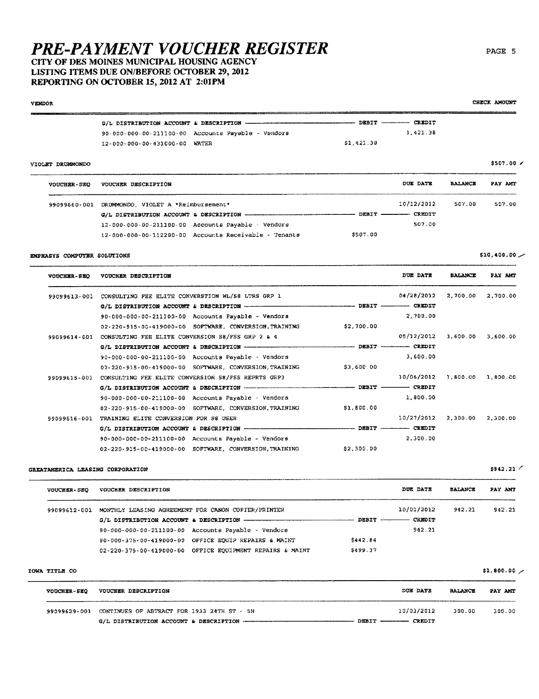### CITY OF DES MOINES MUNICIPAL HOUSING AGENCY LISTING ITEMS DUE ON/BEFORE OCTOBER 29, 2012 REPORTING ON OCTOBER 15, 2012 AT 2:01PM

#### **VENDOR**  $\frac{1}{1}$  DEBIT  $\frac{1}{1}$  CREDIT G/L DISTRIBUTION ACCOUNT & DESCRIPTION -1,421.38 90-000-000-00-211100-00 Accounts Payable - Vendors  $$1.421.38$ 12-000-000-00-431000-00 WATER \$507.00 / VIOLET DRIBMONDO VOUCHER-SEQ VOUCHER DESCRIPTION DUE DATE **BALANCE** PAY AMT 10/12/2012 507.00 99099660-001 DRUMMONDO, VIOLET A \*Reimbursement\* 507.00 G/L DISTRIBUTION ACCOUNT & DESCRIPTION - $-$  DEBIT  $-$ - CREDIT  $12 - 000 - 000 - 00 - 211100 - 00$  Accounts Pavable · Vendors 507.00 12-000-000-00-112200-00 Accounts Receivable - Tenants \$507.00  $$10,400.00$ EMPHASYS COMPUTER SOLUTIONS DUE DATE VOUCHER-SEQ VOUCHER DESCRIPTION **BALANCE** PAY AMT 99099613-001 CONSULTING PEE ELITE CONVERSTION WL/S8 LTRS GRP 1 04/28/2012 2,700.00 2,700.00 G/L DISTRIBUTION ACCOUNT & DESCRIPTION ----- $-$  DEBIT  $-$  CREDIT 90-000-000-00-211100-00 Accounts Payable - Vendors 2.700.00 02-220-915-00-419000-00 SOFTWARE, CONVERSION, TRAINING \$2,700.00 99099614-001 CONSULTING FEE ELITE CONVERSION S8/FSS GRP 2 & 4 05/12/2012 3,600.00 3,600.00  $-$  DRRTT  $-$  CREDIT G/L DISTRIBUTION ACCOUNT & DESCRIPTION -90-000-000-00-211100-00 Accounts Payable - Vendors 3,600.00 02-220-915-00-419000-00 SOFTWARE, CONVERSION, TRAINING \$3,600.00 99099615-001 CONSULTING FEE ELITE CONVERSION S8/FSS REPRTS GRP3 10/06/2012 1,800.00 1,800.00 G/L DISTRIBUTION ACCOUNT & DESCRIPTION ------- $-$  DEBIT  $-$  CREDIT

1,800.00 90-000-000-00-211100-00 Accounts Payable - Vendors 02-220-915-00-419000-00 SOFTWARE, CONVERSION, TRAINING  $$1,800.00$ 99099616-001 TRAINING ELITE CONVERSION FOR S& USER 10/27/2012 2,300.00 2,300.00 DEBIT --------------- CREDIT G/L DISTRIBUTION ACCOUNT & DESCRIPTION -2,300.00 90-000-000-00-211100-00 Accounts Payable - Vendors 02-220-915-00-419000-00 SOFTWARE, CONVERSION, TRAINING \$2,300.00

### GREATAMERICA LEASING CORPORATION

| <b>VOUCHER-SEQ</b> | VOUCHER DESCRIPTION                                            |          | DUE DATE      | <b>BALANCE</b> | PAY AMT |
|--------------------|----------------------------------------------------------------|----------|---------------|----------------|---------|
| 99099612-001       | MONTHLY LEASING AGREEMENT FOR CANON COPTER/PRINTER             |          | 10/01/2012    | 942.21         | 942.21  |
|                    |                                                                | DEBIT -  | <b>CREDIT</b> |                |         |
|                    | $90 - 000 - 000 - 00 - 211100 - 00$ Accounts Payable - Vendors |          | 942.21        |                |         |
|                    | 90-000-375-00-419000-00 OFFICE EOUIP REPAIRS & MAINT           | \$442.84 |               |                |         |
|                    | 02-220-375-00-419000-00 OFFICE EOUIPMENT REPAIRS & MAINT       | 5499.37  |               |                |         |

#### IOWA TITLE CO

| <b>VOUCHER-SEQ</b> | VOUCHER DESCRIPTION                            | DUE DATE                                    | <b>BALANCE</b> | PAY AMT |
|--------------------|------------------------------------------------|---------------------------------------------|----------------|---------|
| 99099629-001       | CONTINUES OF ABTRACT FOR 1933 24TH ST - 5H     | 10/03/2012                                  | 300.00         | 300.00  |
|                    | G/L DISTRIBUTION ACCOUNT & DESCRIPTION ------- | $D$ KBIT $\longrightarrow$<br><b>CREDIT</b> |                |         |

CHECK AMOUNT

\$1,800.00  $\prime$ 

 $$942, 21$  /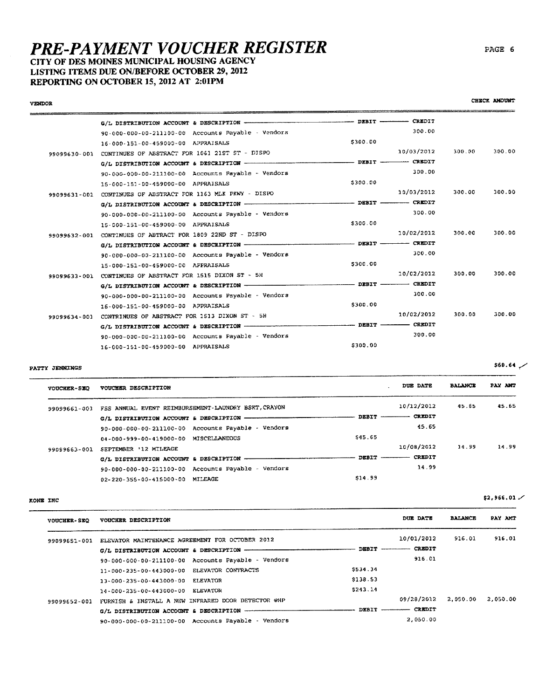## CITY OF DES MOINES MUNICIPAL HOUSING AGENCY LISTING ITEMS DUE ON/BEFORE OCTOBER 29, 2012 REPORTING ON OCTOBER 15, 2012 AT 2:01PM

|              | G/L DISTRIBUTION ACCOUNT & DESCRIPTION -           | ----------- DEBIT -------------                  | <b>CREDIT</b>                                    |        |        |
|--------------|----------------------------------------------------|--------------------------------------------------|--------------------------------------------------|--------|--------|
|              | 90-000-000-00-211100-00 Accounts Payable - Vendors |                                                  | 300.00                                           |        |        |
|              | 16-000-151-00-459000-00 APPRAISALS                 | \$300.00                                         |                                                  |        |        |
| 99099630-001 | CONTINUES OF ABSTRACT FOR 1061 21ST ST - DISPO     |                                                  | 10/03/2012                                       | 300.00 | 300.00 |
|              |                                                    | $\longrightarrow$ DEBIT $\longrightarrow$ CREDIT |                                                  |        |        |
|              | 90-000-000-00-211100-00 Accounts Payable - Vendors |                                                  | 300.00                                           |        |        |
|              | 15-000-151-00-459000-00 APPRAISALS                 | \$300.00                                         |                                                  |        |        |
| 99099631-001 | CONTINUES OF ABSTRACT FOR 1163 MLK PKWY - DISPO    |                                                  | 10/03/2012                                       | 300.00 | 300.00 |
|              |                                                    |                                                  |                                                  |        |        |
|              | 90-000-000-00-211100-00 Accounts Payable - Vendors |                                                  | 300.00                                           |        |        |
|              | 15-000-151-00-459000-00 APPRAISALS                 | \$300.00                                         |                                                  |        |        |
| 99099632-001 | CONTINUES OF ABTRACT FOR 1809 22ND ST - DISPO      |                                                  | 10/02/2012                                       | 300.00 | 300.00 |
|              |                                                    |                                                  | $\longrightarrow$ DEBIT $\longrightarrow$ CREDIT |        |        |
|              | 90-000-000-00-211100-00 Accounts Payable - Vendors |                                                  | 300.00                                           |        |        |
|              | 15-000-151-00-459000-00 APPRAISALS                 | \$300.00                                         |                                                  |        |        |
| 99099633-001 | CONTINUES OF ABSTRACT FOR 1515 DIXON ST - 5H       |                                                  | 10/02/2012                                       | 300.00 | 300.00 |
|              |                                                    | $\sim$ DEBIT $\sim$ CREDIT                       |                                                  |        |        |
|              | 90-000-000-00-211100-00 Accounts Payable - Vendors |                                                  | 300.00                                           |        |        |
|              | 16-000-151-00-459000-00 APPRAISALS                 | \$300.00                                         |                                                  |        |        |
| 99099634-001 | CONTRINUES OF ABSTRACT FOR 1513 DIXON ST - 5H      |                                                  | 10/02/2012                                       | 300.00 | 300.00 |
|              | G/L DISTRIBUTION ACCOUNT & DESCRIPTION --          | DEBIT ---------- CREDIT                          |                                                  |        |        |
|              | 90-000-000-00-211100-00 Accounts Payable - Vendors |                                                  | 300.00                                           |        |        |
|              | 16-000-151-00-459000-00 APPRAISALS                 | \$300.00                                         |                                                  |        |        |

### PATTY JENNINGS

**VENDOR** 

 $$60.64$   $\sim$ 

| <b>VOUCHER-SEO</b> | VOUCHER DESCRIPTION                                 |                     | DUE DATE      | <b>BALANCE</b> | PAY AMT |
|--------------------|-----------------------------------------------------|---------------------|---------------|----------------|---------|
| 99099661-001       | FSS ANNUAL EVENT REIMBURSEMENT-LAUNDRY BSKT, CRAYON |                     | 10/12/2012    | 45.65          | 45.65   |
|                    | G/L DISTRIBUTION ACCOUNT & DESCRIPTION              | <b>DEBIT</b>        | <b>CREDIT</b> |                |         |
|                    | 90-000-000-00-211100-00 Accounts Payable - Vendors  |                     | 45.65         |                |         |
|                    | 04-000-999-00-419000-00 MISCELLANEOUS               | S <sub>45</sub> .65 |               |                |         |
| 99099663-001       | SEPTEMBER '12 MILEAGE                               |                     | 10/08/2012    | 14.99          | 14.99   |
|                    | G/L DISTRIBUTION ACCOUNT & DESCRIPTION              | <b>DEBIT</b>        | <b>CREDIT</b> |                |         |
|                    | 90-000-000-00-211100-00 Accounts Payable - Vendors  |                     | 14.99         |                |         |
|                    | 02-220-355-00-415000-00 MILEAGE                     | \$14.99             |               |                |         |
|                    |                                                     |                     |               |                |         |

#### KONE INC

| <b>VOUCHER-SEQ</b> | VOUCHER DESCRIPTION                                |          | DUE DATE                             | <b>BALANCE</b> | PAY ANT  |
|--------------------|----------------------------------------------------|----------|--------------------------------------|----------------|----------|
| 99099651-001       | ELEVATOR MAINTENANCE AGREEMENT FOR OCTOBER 2012    |          | 10/01/2012                           | 916.01         | 916.01   |
|                    | G/L DISTRIBUTION ACCOUNT & DESCRIPTION ----        |          | <b>CREDIT</b><br>$DEBIT$ ----------- |                |          |
|                    | 90-000-000-00-211100-00 Accounts Payable - Vendors |          | 916.01                               |                |          |
|                    | ELEVATOR CONTRACTS<br>11-000-235-00-443000-00      | \$534.34 |                                      |                |          |
|                    | <b>ELEVATOR</b><br>13-000-235-00-443000-00         | \$138.53 |                                      |                |          |
|                    | <b>ELEVATOR</b><br>14-000-235-00-443000-00         | 5243.14  |                                      |                |          |
| 99099652-001       | FURNISH & INSTALL A NEW INFRARED DOOR DETECTOR @HP |          | 09/28/2012                           | 2.050.00       | 2.050.00 |
|                    | G/L DISTRIBUTION ACCOUNT & DESCRIPTION             |          | <b>CREDIT</b><br><b>DEBIT</b>        |                |          |
|                    | 90-000-000-00-211100-00 Accounts Payable - Vendors |          | 2.050.00                             |                |          |

CHECK AMOUNT

 $$2,966.01$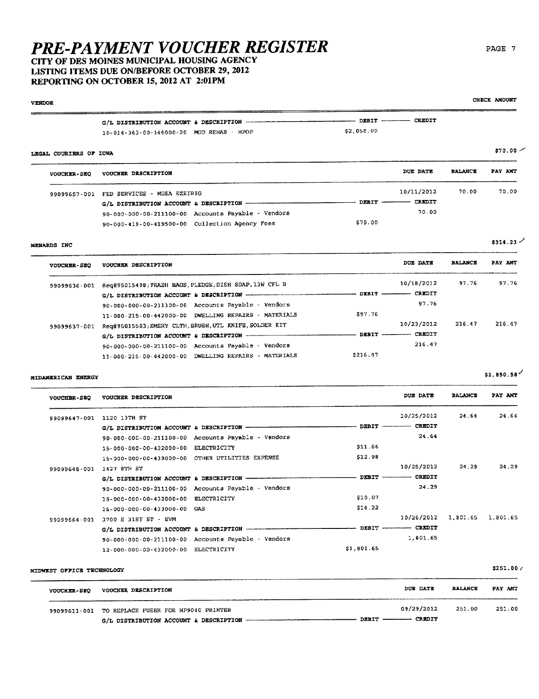# CITY OF DES MOINES MUNICIPAL HOUSING AGENCY LISTING ITEMS DUE ON/BEFORE OCTOBER 29, 2012

### REPORTING ON OCTOBER 15, 2012 AT 2:01PM **VENDOR**  $\equiv$ -----**EDIT**

| 10-014-363-00-146000-20 MOD REHAB - HPOP |  | \$2,050.00 |  |
|------------------------------------------|--|------------|--|

### LEGAL COURIERS OF IOWA

| <b>VOUCHER-SEQ</b> | VOUCHER DESCRIPTION                                |                   | DUE DATE   | <b>BALANCE</b> | PAY AMT |
|--------------------|----------------------------------------------------|-------------------|------------|----------------|---------|
| 99099657-001       | FED SERVICES - MUSA EZEIRIG                        |                   | 10/11/2012 | 70.00          | 70.00   |
|                    | G/L DISTRIBUTION ACCOUNT & DESCRIPTION             | DEBIT ----------- | CREDIT     |                |         |
|                    | 90-000-000-00-211100-00 Accounts Payable - Vendors |                   | 70.00      |                |         |
|                    | 90-000-419-00-419500-00 Collection Agency Fees     | 570.00            |            |                |         |

#### MENARDS INC

| <b>VOUCHER-SEO</b> | VOUCHER DESCRIPTION                                    |         | DUE DATE      | <b>BALANCE</b> | PAY AMT |
|--------------------|--------------------------------------------------------|---------|---------------|----------------|---------|
| 99099636-001       | Req#95015498; TRASH BAGS, PLEDGE, DISH SOAP, 13W CFL B |         | 10/18/2012    | 97.76          | 97.76   |
|                    |                                                        |         | <b>CREDIT</b> |                |         |
|                    | 90-000-000-00-211100-00 Accounts Payable - Vendors     |         | 97.76         |                |         |
|                    | 11-000-215-00-442000-00 DWELLING REPAIRS - MATERIALS   | \$97.76 |               |                |         |
| 99099637-001       | Req#95015503;EMERY CLTH, BRUSH, UTL KNIFE, SOLDER KIT  |         | 10/23/2012    | 216.47         | 216.47  |
|                    |                                                        |         | <b>CREDIT</b> |                |         |
|                    | 90-000-000-00-211100-00 Accounts Payable - Vendors     |         | 216.47        |                |         |
|                    | 11-000-215-00-442000-00 DWELLING REPAIRS - MATERIALS   | 5216.47 |               |                |         |

#### MIDAMERICAN ENERGY

 $$1,850.58$ 

\$251.00 /

| <b>VOUCHBR-SEQ</b> | VOUCHER DESCRIPTION                                 |              | DUE DATE      | <b>BALANCE</b> | PAY ANT  |
|--------------------|-----------------------------------------------------|--------------|---------------|----------------|----------|
| 99099647-001       | 1120 13TH ST                                        |              | 10/25/2012    | 24.64          | 24.64    |
|                    | G/L DISTRIBUTION ACCOUNT & DESCRIPTION              | $DEBIT -$    | <b>CREDIT</b> |                |          |
|                    | 90-000-000-00-211100-00 Accounts Payable - Vendors  |              | 24.64         |                |          |
|                    | ELECTRICITY<br>15-000-000-00-432000-00              | \$11.66      |               |                |          |
|                    | 15-000-000-00-439000-00 OTHER UTILITIES EXPENSE     | \$12.98      |               |                |          |
| 99099648-001       | 1427 8TH ST                                         |              | 10/25/2012    | 24.29          | 24.29    |
|                    | G/L DISTRIBUTION ACCOUNT & DESCRIPTION              | <b>DEBIT</b> | <b>CREDIT</b> |                |          |
|                    | 90-000-000-00-211100-00 Accounts Payable - Vendors  |              | 24.29         |                |          |
|                    | 15-000-000-00-432000-00 ELECTRICITY                 | \$10.07      |               |                |          |
|                    | 15-000-000-00-433000-00 GAS                         | \$14.22      |               |                |          |
| 99099664-001       | 3700 E 31ST ST - EVM                                |              | 10/26/2012    | 1,801.65       | 1,801.65 |
|                    | G/L DISTRIBUTION ACCOUNT & DESCRIPTION ------------ | DEBIT -      | CREDIT        |                |          |
|                    | 90-000-000-00-211100-00 Accounts Payable - Vendors  |              | 1.801.65      |                |          |
|                    | 12-000-000-00-432000-00 ELECTRICITY                 | \$1,801.65   |               |                |          |

### MIDWEST OFFICE TECHNOLOGY

| <b>VOUCHER-SEQ</b> | VOUCHER DESCRIPTION                 | DUE DATE             | <b>BALANCE</b> | PAY AMT |
|--------------------|-------------------------------------|----------------------|----------------|---------|
| 99099611-001       | TO REPLACE FUSER FOR HP9040 PRINTER | 09/29/2012           | 251.00         | 251.00  |
|                    |                                     | DEBIT ------- CREDIT |                |         |

CHECK AMOUNT

 $$70.00$ 

 $$314.23$   $\prime$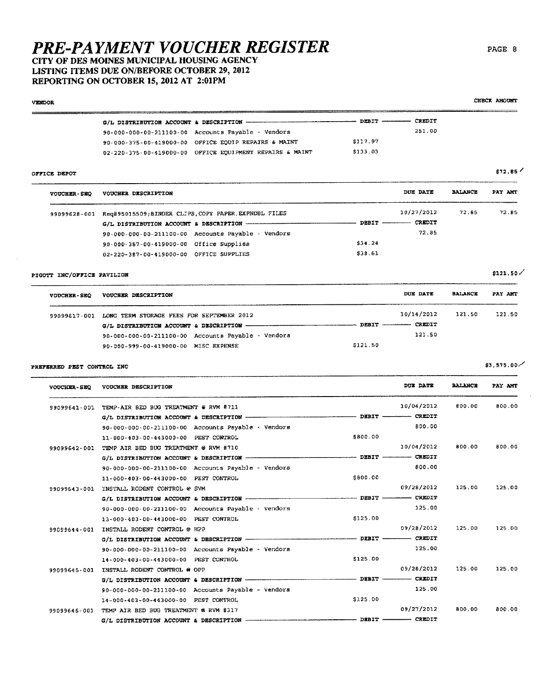## CITY OF DES MOINES MUNICIPAL HOUSING AGENCY LISTING ITEMS DUE ON/BEFORE OCTOBER 29, 2012 REPORTING ON OCTOBER 15, 2012 AT 2:01PM

**VENDOR** 

|                                                  |                                                                   |                                    | — CREDIT             |                |                       |
|--------------------------------------------------|-------------------------------------------------------------------|------------------------------------|----------------------|----------------|-----------------------|
|                                                  | 90-000-000-00-211100-00 Accounts Payable - Vendors                |                                    | 251.00               |                |                       |
|                                                  | 90-000-375-00-419000-00 OFFICE EQUIP REPAIRS & MAINT              | \$117.97                           |                      |                |                       |
|                                                  | 02-220-375-00-419000-00 OFFICE EQUIPMENT REPAIRS & MAINT          | \$133.03                           |                      |                |                       |
| OFFICE DEPOT                                     |                                                                   |                                    |                      |                | \$72,85               |
| <b>VOUCHER-SEQ</b>                               | VOUCHER DESCRIPTION                                               |                                    | DUE DATE             | <b>BALANCE</b> | PAY AMT               |
|                                                  | 99099628-001 Req#95015509;BINDER CLIPS, COPY PAPER, EXPNDBL FILES |                                    | 10/27/2012           | 72.85          | 72.85                 |
|                                                  | G/L DISTRIBUTION ACCOUNT & DESCRIPTION --                         | --------- DEBIT ----------- CREDIT |                      |                |                       |
|                                                  | 90-000-000-00-211100-00 Accounts Payable - Vendors                |                                    | 72.85                |                |                       |
|                                                  | 90-000-387-00-419000-00 Office Supplies                           | \$34.24                            |                      |                |                       |
|                                                  | 02-220-387-00-419000-00 OFFICE SUPPLIES                           | \$38.61                            |                      |                |                       |
| PIGOTT INC/OFFICE PAVILION                       |                                                                   |                                    |                      |                | \$121.50/             |
| VOUCHER-SEQ                                      | VOUCHER DESCRIPTION                                               |                                    | DUE DATE             | <b>BALANCE</b> | PAY AMT               |
|                                                  | 99099617-001 LONG TERM STORAGE FEES FOR SEPTEMBER 2012            |                                    | 10/14/2012           | 121.50         | 121.50                |
|                                                  |                                                                   |                                    |                      |                |                       |
|                                                  | 90-000-000-00-211100-00 Accounts Payable - Vendors                |                                    | 121.50               |                |                       |
|                                                  | 90-000-999-00-419000-00 MISC EXPENSE                              | \$121.50                           |                      |                |                       |
| PREFERRED PEST CONTROL INC<br><b>VOUCHER-SEQ</b> | VOUCHER DESCRIPTION                                               |                                    | DUX DATE             | <b>BALANCE</b> | \$3.575.00<br>PAY AMT |
|                                                  | 99099641-001 TEMP-AIR BED BUG TREATMENT @ RVM #711                |                                    | 10/04/2012           | 800.00         | 800.00                |
|                                                  | G/L DISTRIBUTION ACCOUNT & DESCRIPTION --------                   | <b>DEBIT --</b>                    | - CREDIT             |                |                       |
|                                                  | $90 - 000 - 000 - 00 - 211100 - 00$ Accounts Payable - Vendors    |                                    | 800.00               |                |                       |
|                                                  | 11-000-403-00-443000-00 PEST CONTROL                              | \$800.00                           |                      |                |                       |
|                                                  | 99099642-001 TEMP AIR BED BUG TREATMENT @ RVM #710                |                                    | 10/04/2012           | 800.00         | 800.00                |
|                                                  | G/L DISTRIBUTION ACCOUNT & DESCRIPTION -----                      | ----------------- DEBIT -          | - CREDIT             |                |                       |
|                                                  | 90-000-000-00-211100-00 Accounts Payable - Vendors                |                                    | 800.00               |                |                       |
|                                                  | 11-000-403-00-443000-00 PEST CONTROL                              | \$800.00                           |                      |                |                       |
|                                                  | 99099543-001 INSTALL RODENT CONTROL @ SVM                         |                                    | 09/28/2012           | 125.00         | 125.00                |
|                                                  | G/L DISTRIBUTION ACCOUNT & DESCRIPTION --                         | -------- DEBIT -                   | - CREDIT             |                |                       |
|                                                  | 90-000-000-00-211100-00 Accounts Payable - Vendors                |                                    | 125.00               |                |                       |
|                                                  | 13-000-403-00-443000-00 PEST CONTROL                              | \$125.00                           |                      |                |                       |
|                                                  | 99099644-001 INSTALL RODENT CONTROL @ HPP                         |                                    | 09/28/2012           | 125.00         | 125.00                |
|                                                  | G/L DISTRIBUTION ACCOUNT & DESCRIPTION -                          | $-$ DEBIT $-$                      | $ CREDIT$            |                |                       |
|                                                  | 90-000-000-00-211100-00 Accounts Payable - Vendors                |                                    | 125.00               |                |                       |
|                                                  | 14-000-403-00-443000-00 PEST CONTROL                              | \$125.00                           |                      |                |                       |
|                                                  | 99099645-001 INSTALL RODENT CONTROL @ OPP                         |                                    | 09/28/2012           | 125.00         | 125.00                |
|                                                  | G/L DISTRIBUTION ACCOUNT & DESCRIPTION -------                    |                                    | $-$ DEBIT $-$ CREDIT |                |                       |
|                                                  | 90-000-000-00-211100-00 Accounts Payable - Vendors                |                                    | 125.00               |                |                       |
|                                                  | 14-000-403-00-443000-00 PEST CONTROL                              | \$125.00                           |                      |                |                       |
|                                                  | 99099646-001 TEMP AIR BED BUG TREATMENT @ RVM #317                |                                    | 09/27/2012           | 800.00         | 800.00                |
|                                                  | C/L DISTRIBUTION ACCOUNT & DESCRIPTION -                          |                                    | $-$ DEBIT $-$ CREDIT |                |                       |

### PAGE 8

CHECK ANOUNT